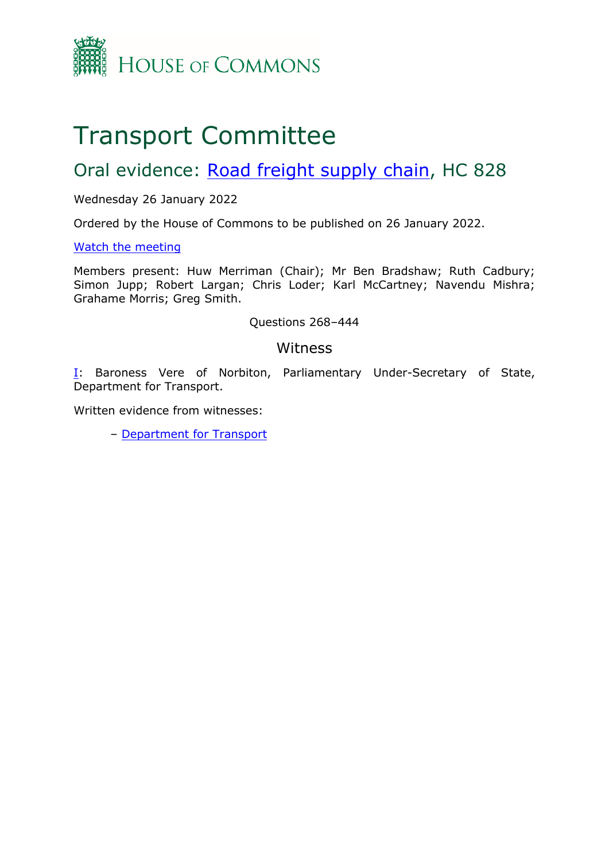

# Transport Committee

## Oral evidence: [Road](https://committees.parliament.uk/work/1587/road-freight-supply-chain/) [freight](https://committees.parliament.uk/work/1587/road-freight-supply-chain/) [supply](https://committees.parliament.uk/work/1587/road-freight-supply-chain/) [chain](https://committees.parliament.uk/work/1587/road-freight-supply-chain/), HC 828

#### Wednesday 26 January 2022

Ordered by the House of Commons to be published on 26 January 2022.

#### [Watch](https://www.parliamentlive.tv/Event/Index/63585a5f-1f5e-4436-b227-c3b768107368) [the](https://www.parliamentlive.tv/Event/Index/63585a5f-1f5e-4436-b227-c3b768107368) [meeting](https://www.parliamentlive.tv/Event/Index/63585a5f-1f5e-4436-b227-c3b768107368)

Members present: Huw Merriman (Chair); Mr Ben Bradshaw; Ruth Cadbury; Simon Jupp; Robert Largan; Chris Loder; Karl McCartney; Navendu Mishra; Grahame Morris; Greg Smith.

#### Questions 268–444

#### Witness

[I:](#page-1-0) Baroness Vere of Norbiton, Parliamentary Under-Secretary of State, Department for Transport.

Written evidence from witnesses:

– [Department](https://committees.parliament.uk/writtenevidence/41204/pdf/) [for](https://committees.parliament.uk/writtenevidence/41204/pdf/) [Transport](https://committees.parliament.uk/writtenevidence/41204/pdf/)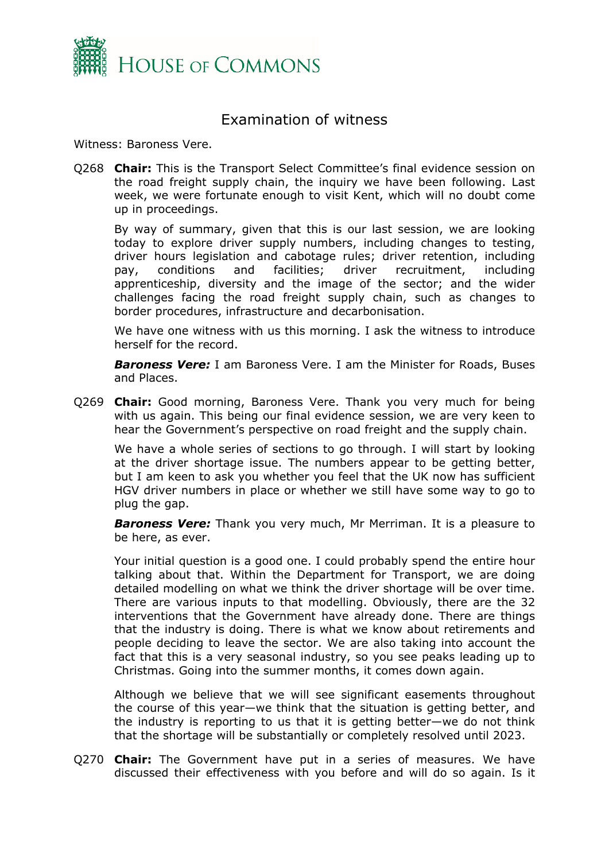

### <span id="page-1-0"></span>Examination of witness

Witness: Baroness Vere.

Q268 **Chair:** This is the Transport Select Committee's final evidence session on the road freight supply chain, the inquiry we have been following. Last week, we were fortunate enough to visit Kent, which will no doubt come up in proceedings.

By way of summary, given that this is our last session, we are looking today to explore driver supply numbers, including changes to testing, driver hours legislation and cabotage rules; driver retention, including pay, conditions and facilities; driver recruitment, including apprenticeship, diversity and the image of the sector; and the wider challenges facing the road freight supply chain, such as changes to border procedures, infrastructure and decarbonisation.

We have one witness with us this morning. I ask the witness to introduce herself for the record.

*Baroness Vere:* I am Baroness Vere. I am the Minister for Roads, Buses and Places.

Q269 **Chair:** Good morning, Baroness Vere. Thank you very much for being with us again. This being our final evidence session, we are very keen to hear the Government's perspective on road freight and the supply chain.

We have a whole series of sections to go through. I will start by looking at the driver shortage issue. The numbers appear to be getting better, but I am keen to ask you whether you feel that the UK now has sufficient HGV driver numbers in place or whether we still have some way to go to plug the gap.

*Baroness Vere:* Thank you very much, Mr Merriman. It is a pleasure to be here, as ever.

Your initial question is a good one. I could probably spend the entire hour talking about that. Within the Department for Transport, we are doing detailed modelling on what we think the driver shortage will be over time. There are various inputs to that modelling. Obviously, there are the 32 interventions that the Government have already done. There are things that the industry is doing. There is what we know about retirements and people deciding to leave the sector. We are also taking into account the fact that this is a very seasonal industry, so you see peaks leading up to Christmas. Going into the summer months, it comes down again.

Although we believe that we will see significant easements throughout the course of this year—we think that the situation is getting better, and the industry is reporting to us that it is getting better—we do not think that the shortage will be substantially or completely resolved until 2023.

Q270 **Chair:** The Government have put in a series of measures. We have discussed their effectiveness with you before and will do so again. Is it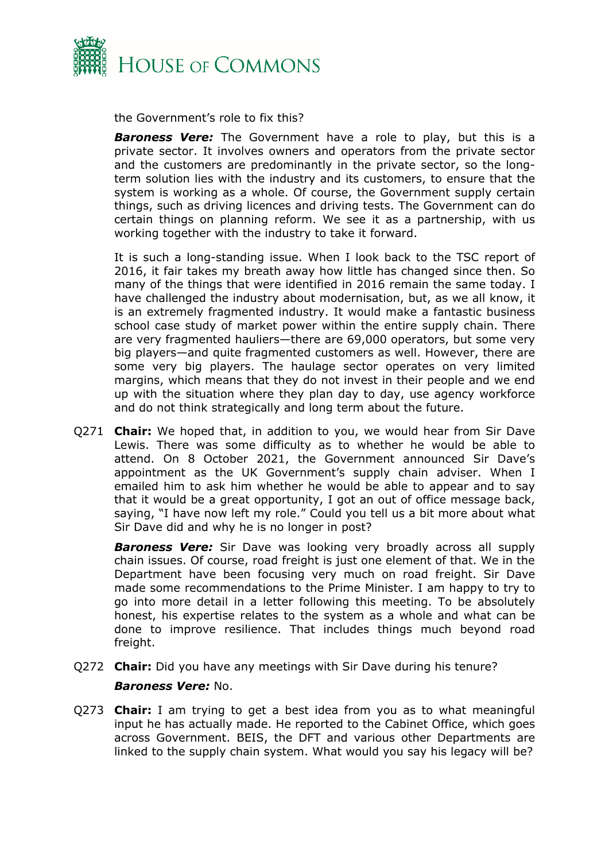

the Government's role to fix this?

*Baroness Vere:* The Government have a role to play, but this is a private sector. It involves owners and operators from the private sector and the customers are predominantly in the private sector, so the longterm solution lies with the industry and its customers, to ensure that the system is working as a whole. Of course, the Government supply certain things, such as driving licences and driving tests. The Government can do certain things on planning reform. We see it as a partnership, with us working together with the industry to take it forward.

It is such a long-standing issue. When I look back to the TSC report of 2016, it fair takes my breath away how little has changed since then. So many of the things that were identified in 2016 remain the same today. I have challenged the industry about modernisation, but, as we all know, it is an extremely fragmented industry. It would make a fantastic business school case study of market power within the entire supply chain. There are very fragmented hauliers—there are 69,000 operators, but some very big players—and quite fragmented customers as well. However, there are some very big players. The haulage sector operates on very limited margins, which means that they do not invest in their people and we end up with the situation where they plan day to day, use agency workforce and do not think strategically and long term about the future.

Q271 **Chair:** We hoped that, in addition to you, we would hear from Sir Dave Lewis. There was some difficulty as to whether he would be able to attend. On 8 October 2021, the Government announced Sir Dave's appointment as the UK Government's supply chain adviser. When I emailed him to ask him whether he would be able to appear and to say that it would be a great opportunity, I got an out of office message back, saying, "I have now left my role." Could you tell us a bit more about what Sir Dave did and why he is no longer in post?

*Baroness Vere:* Sir Dave was looking very broadly across all supply chain issues. Of course, road freight is just one element of that. We in the Department have been focusing very much on road freight. Sir Dave made some recommendations to the Prime Minister. I am happy to try to go into more detail in a letter following this meeting. To be absolutely honest, his expertise relates to the system as a whole and what can be done to improve resilience. That includes things much beyond road freight.

- Q272 **Chair:** Did you have any meetings with Sir Dave during his tenure? *Baroness Vere:* No.
- Q273 **Chair:** I am trying to get a best idea from you as to what meaningful input he has actually made. He reported to the Cabinet Office, which goes across Government. BEIS, the DFT and various other Departments are linked to the supply chain system. What would you say his legacy will be?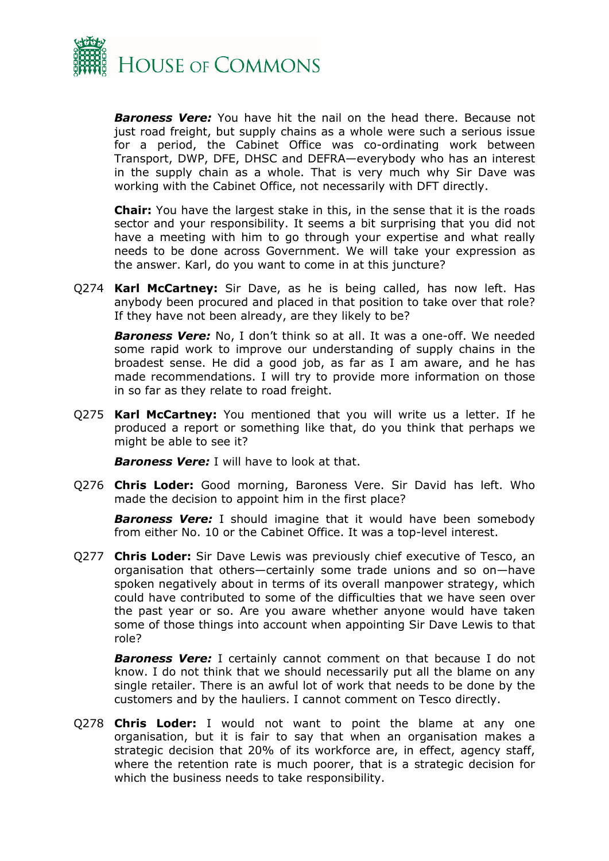

*Baroness Vere:* You have hit the nail on the head there. Because not just road freight, but supply chains as a whole were such a serious issue for a period, the Cabinet Office was co-ordinating work between Transport, DWP, DFE, DHSC and DEFRA—everybody who has an interest in the supply chain as a whole. That is very much why Sir Dave was working with the Cabinet Office, not necessarily with DFT directly.

**Chair:** You have the largest stake in this, in the sense that it is the roads sector and your responsibility. It seems a bit surprising that you did not have a meeting with him to go through your expertise and what really needs to be done across Government. We will take your expression as the answer. Karl, do you want to come in at this juncture?

Q274 **Karl McCartney:** Sir Dave, as he is being called, has now left. Has anybody been procured and placed in that position to take over that role? If they have not been already, are they likely to be?

*Baroness Vere:* No, I don't think so at all. It was a one-off. We needed some rapid work to improve our understanding of supply chains in the broadest sense. He did a good job, as far as I am aware, and he has made recommendations. I will try to provide more information on those in so far as they relate to road freight.

Q275 **Karl McCartney:** You mentioned that you will write us a letter. If he produced a report or something like that, do you think that perhaps we might be able to see it?

*Baroness Vere:* I will have to look at that.

Q276 **Chris Loder:** Good morning, Baroness Vere. Sir David has left. Who made the decision to appoint him in the first place?

*Baroness Vere:* I should imagine that it would have been somebody from either No. 10 or the Cabinet Office. It was a top-level interest.

Q277 **Chris Loder:** Sir Dave Lewis was previously chief executive of Tesco, an organisation that others—certainly some trade unions and so on—have spoken negatively about in terms of its overall manpower strategy, which could have contributed to some of the difficulties that we have seen over the past year or so. Are you aware whether anyone would have taken some of those things into account when appointing Sir Dave Lewis to that role?

**Baroness Vere:** I certainly cannot comment on that because I do not know. I do not think that we should necessarily put all the blame on any single retailer. There is an awful lot of work that needs to be done by the customers and by the hauliers. I cannot comment on Tesco directly.

Q278 **Chris Loder:** I would not want to point the blame at any one organisation, but it is fair to say that when an organisation makes a strategic decision that 20% of its workforce are, in effect, agency staff, where the retention rate is much poorer, that is a strategic decision for which the business needs to take responsibility.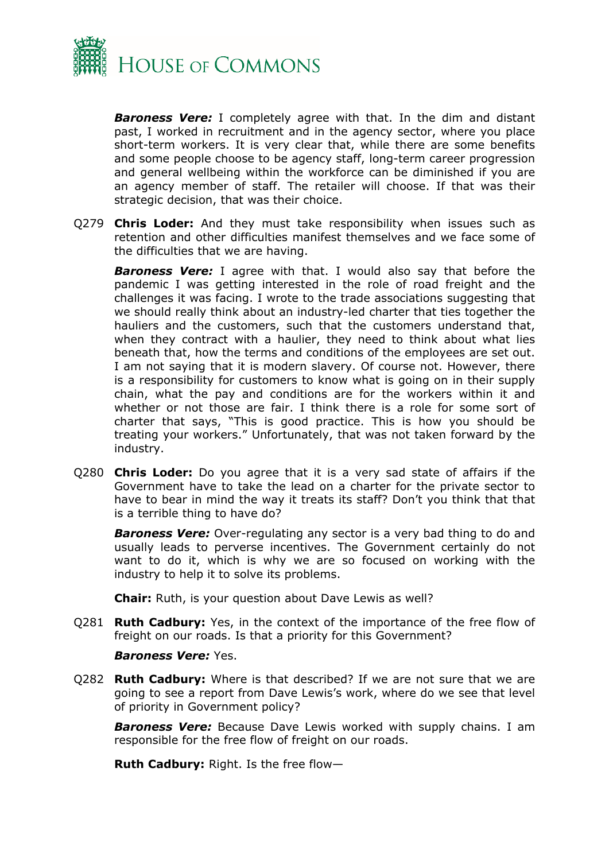

*Baroness Vere:* I completely agree with that. In the dim and distant past, I worked in recruitment and in the agency sector, where you place short-term workers. It is very clear that, while there are some benefits and some people choose to be agency staff, long-term career progression and general wellbeing within the workforce can be diminished if you are an agency member of staff. The retailer will choose. If that was their strategic decision, that was their choice.

Q279 **Chris Loder:** And they must take responsibility when issues such as retention and other difficulties manifest themselves and we face some of the difficulties that we are having.

*Baroness Vere:* I agree with that. I would also say that before the pandemic I was getting interested in the role of road freight and the challenges it was facing. I wrote to the trade associations suggesting that we should really think about an industry-led charter that ties together the hauliers and the customers, such that the customers understand that, when they contract with a haulier, they need to think about what lies beneath that, how the terms and conditions of the employees are set out. I am not saying that it is modern slavery. Of course not. However, there is a responsibility for customers to know what is going on in their supply chain, what the pay and conditions are for the workers within it and whether or not those are fair. I think there is a role for some sort of charter that says, "This is good practice. This is how you should be treating your workers." Unfortunately, that was not taken forward by the industry.

Q280 **Chris Loder:** Do you agree that it is a very sad state of affairs if the Government have to take the lead on a charter for the private sector to have to bear in mind the way it treats its staff? Don't you think that that is a terrible thing to have do?

*Baroness Vere:* Over-regulating any sector is a very bad thing to do and usually leads to perverse incentives. The Government certainly do not want to do it, which is why we are so focused on working with the industry to help it to solve its problems.

**Chair:** Ruth, is your question about Dave Lewis as well?

Q281 **Ruth Cadbury:** Yes, in the context of the importance of the free flow of freight on our roads. Is that a priority for this Government?

#### *Baroness Vere:* Yes.

Q282 **Ruth Cadbury:** Where is that described? If we are not sure that we are going to see a report from Dave Lewis's work, where do we see that level of priority in Government policy?

*Baroness Vere:* Because Dave Lewis worked with supply chains. I am responsible for the free flow of freight on our roads.

**Ruth Cadbury:** Right. Is the free flow—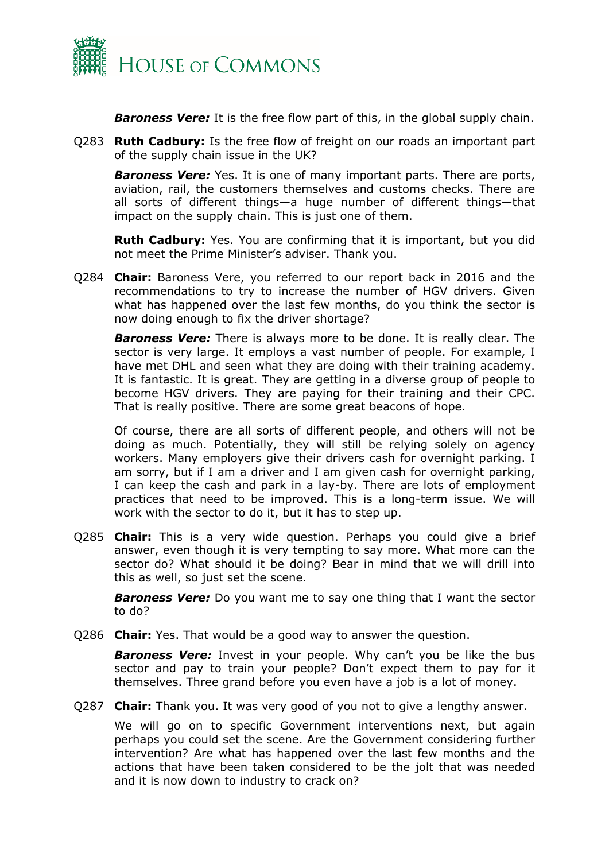

*Baroness Vere:* It is the free flow part of this, in the global supply chain.

Q283 **Ruth Cadbury:** Is the free flow of freight on our roads an important part of the supply chain issue in the UK?

*Baroness Vere:* Yes. It is one of many important parts. There are ports, aviation, rail, the customers themselves and customs checks. There are all sorts of different things—a huge number of different things—that impact on the supply chain. This is just one of them.

**Ruth Cadbury:** Yes. You are confirming that it is important, but you did not meet the Prime Minister's adviser. Thank you.

Q284 **Chair:** Baroness Vere, you referred to our report back in 2016 and the recommendations to try to increase the number of HGV drivers. Given what has happened over the last few months, do you think the sector is now doing enough to fix the driver shortage?

*Baroness Vere:* There is always more to be done. It is really clear. The sector is very large. It employs a vast number of people. For example, I have met DHL and seen what they are doing with their training academy. It is fantastic. It is great. They are getting in a diverse group of people to become HGV drivers. They are paying for their training and their CPC. That is really positive. There are some great beacons of hope.

Of course, there are all sorts of different people, and others will not be doing as much. Potentially, they will still be relying solely on agency workers. Many employers give their drivers cash for overnight parking. I am sorry, but if I am a driver and I am given cash for overnight parking, I can keep the cash and park in a lay-by. There are lots of employment practices that need to be improved. This is a long-term issue. We will work with the sector to do it, but it has to step up.

Q285 **Chair:** This is a very wide question. Perhaps you could give a brief answer, even though it is very tempting to say more. What more can the sector do? What should it be doing? Bear in mind that we will drill into this as well, so just set the scene.

*Baroness Vere:* Do you want me to say one thing that I want the sector to do?

Q286 **Chair:** Yes. That would be a good way to answer the question.

**Baroness Vere:** Invest in your people. Why can't you be like the bus sector and pay to train your people? Don't expect them to pay for it themselves. Three grand before you even have a job is a lot of money.

Q287 **Chair:** Thank you. It was very good of you not to give a lengthy answer.

We will go on to specific Government interventions next, but again perhaps you could set the scene. Are the Government considering further intervention? Are what has happened over the last few months and the actions that have been taken considered to be the jolt that was needed and it is now down to industry to crack on?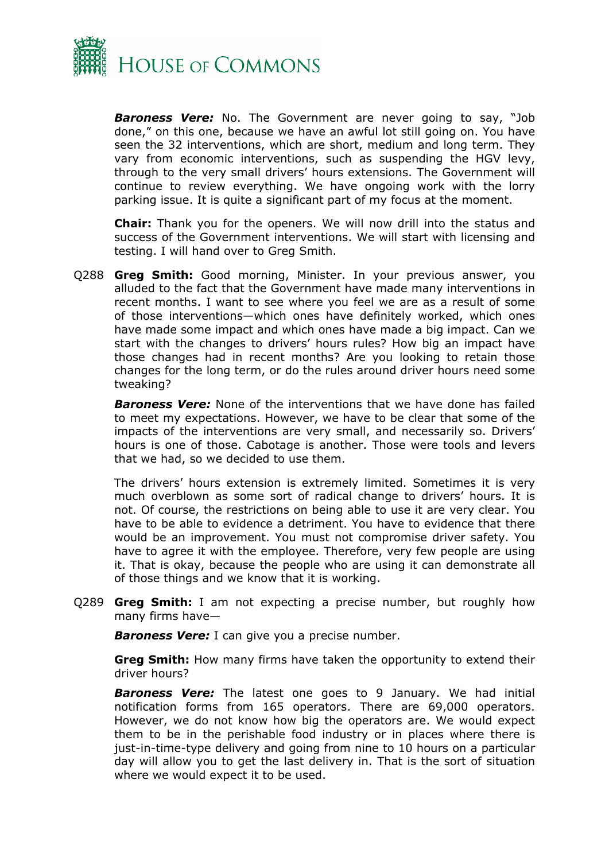

*Baroness Vere:* No. The Government are never going to say, "Job done," on this one, because we have an awful lot still going on. You have seen the 32 interventions, which are short, medium and long term. They vary from economic interventions, such as suspending the HGV levy, through to the very small drivers' hours extensions. The Government will continue to review everything. We have ongoing work with the lorry parking issue. It is quite a significant part of my focus at the moment.

**Chair:** Thank you for the openers. We will now drill into the status and success of the Government interventions. We will start with licensing and testing. I will hand over to Greg Smith.

Q288 **Greg Smith:** Good morning, Minister. In your previous answer, you alluded to the fact that the Government have made many interventions in recent months. I want to see where you feel we are as a result of some of those interventions—which ones have definitely worked, which ones have made some impact and which ones have made a big impact. Can we start with the changes to drivers' hours rules? How big an impact have those changes had in recent months? Are you looking to retain those changes for the long term, or do the rules around driver hours need some tweaking?

*Baroness Vere:* None of the interventions that we have done has failed to meet my expectations. However, we have to be clear that some of the impacts of the interventions are very small, and necessarily so. Drivers' hours is one of those. Cabotage is another. Those were tools and levers that we had, so we decided to use them.

The drivers' hours extension is extremely limited. Sometimes it is very much overblown as some sort of radical change to drivers' hours. It is not. Of course, the restrictions on being able to use it are very clear. You have to be able to evidence a detriment. You have to evidence that there would be an improvement. You must not compromise driver safety. You have to agree it with the employee. Therefore, very few people are using it. That is okay, because the people who are using it can demonstrate all of those things and we know that it is working.

Q289 **Greg Smith:** I am not expecting a precise number, but roughly how many firms have—

*Baroness Vere:* I can give you a precise number.

**Greg Smith:** How many firms have taken the opportunity to extend their driver hours?

*Baroness Vere:* The latest one goes to 9 January. We had initial notification forms from 165 operators. There are 69,000 operators. However, we do not know how big the operators are. We would expect them to be in the perishable food industry or in places where there is just-in-time-type delivery and going from nine to 10 hours on a particular day will allow you to get the last delivery in. That is the sort of situation where we would expect it to be used.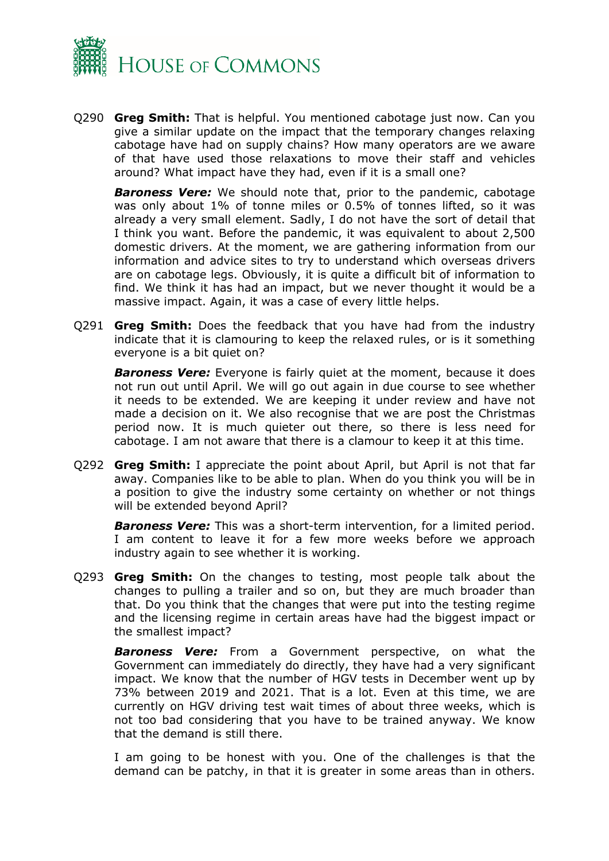

Q290 **Greg Smith:** That is helpful. You mentioned cabotage just now. Can you give a similar update on the impact that the temporary changes relaxing cabotage have had on supply chains? How many operators are we aware of that have used those relaxations to move their staff and vehicles around? What impact have they had, even if it is a small one?

*Baroness Vere:* We should note that, prior to the pandemic, cabotage was only about 1% of tonne miles or 0.5% of tonnes lifted, so it was already a very small element. Sadly, I do not have the sort of detail that I think you want. Before the pandemic, it was equivalent to about 2,500 domestic drivers. At the moment, we are gathering information from our information and advice sites to try to understand which overseas drivers are on cabotage legs. Obviously, it is quite a difficult bit of information to find. We think it has had an impact, but we never thought it would be a massive impact. Again, it was a case of every little helps.

Q291 **Greg Smith:** Does the feedback that you have had from the industry indicate that it is clamouring to keep the relaxed rules, or is it something everyone is a bit quiet on?

*Baroness Vere:* Everyone is fairly quiet at the moment, because it does not run out until April. We will go out again in due course to see whether it needs to be extended. We are keeping it under review and have not made a decision on it. We also recognise that we are post the Christmas period now. It is much quieter out there, so there is less need for cabotage. I am not aware that there is a clamour to keep it at this time.

Q292 **Greg Smith:** I appreciate the point about April, but April is not that far away. Companies like to be able to plan. When do you think you will be in a position to give the industry some certainty on whether or not things will be extended beyond April?

*Baroness Vere:* This was a short-term intervention, for a limited period. I am content to leave it for a few more weeks before we approach industry again to see whether it is working.

Q293 **Greg Smith:** On the changes to testing, most people talk about the changes to pulling a trailer and so on, but they are much broader than that. Do you think that the changes that were put into the testing regime and the licensing regime in certain areas have had the biggest impact or the smallest impact?

*Baroness Vere:* From a Government perspective, on what the Government can immediately do directly, they have had a very significant impact. We know that the number of HGV tests in December went up by 73% between 2019 and 2021. That is a lot. Even at this time, we are currently on HGV driving test wait times of about three weeks, which is not too bad considering that you have to be trained anyway. We know that the demand is still there.

I am going to be honest with you. One of the challenges is that the demand can be patchy, in that it is greater in some areas than in others.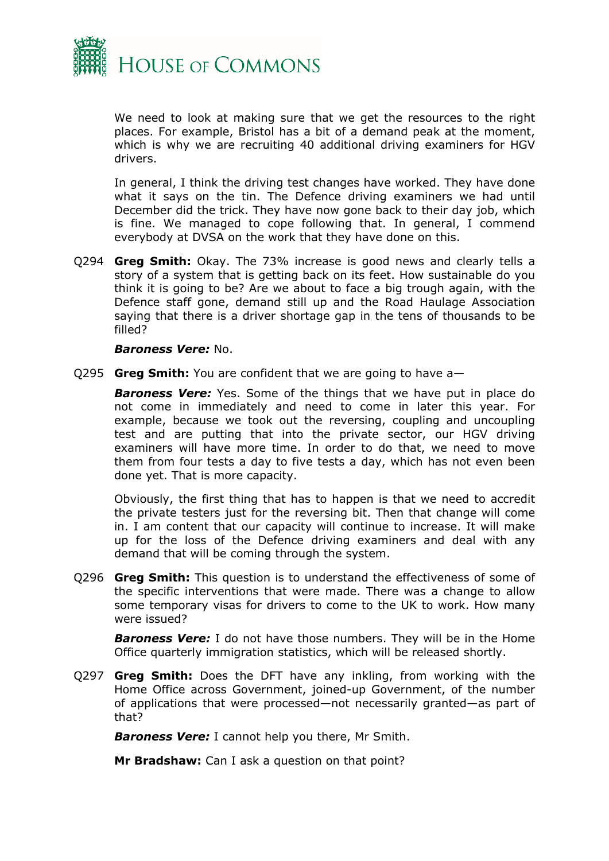

We need to look at making sure that we get the resources to the right places. For example, Bristol has a bit of a demand peak at the moment, which is why we are recruiting 40 additional driving examiners for HGV drivers.

In general, I think the driving test changes have worked. They have done what it says on the tin. The Defence driving examiners we had until December did the trick. They have now gone back to their day job, which is fine. We managed to cope following that. In general, I commend everybody at DVSA on the work that they have done on this.

Q294 **Greg Smith:** Okay. The 73% increase is good news and clearly tells a story of a system that is getting back on its feet. How sustainable do you think it is going to be? Are we about to face a big trough again, with the Defence staff gone, demand still up and the Road Haulage Association saying that there is a driver shortage gap in the tens of thousands to be filled?

#### *Baroness Vere:* No.

Q295 **Greg Smith:** You are confident that we are going to have a—

**Baroness Vere:** Yes. Some of the things that we have put in place do not come in immediately and need to come in later this year. For example, because we took out the reversing, coupling and uncoupling test and are putting that into the private sector, our HGV driving examiners will have more time. In order to do that, we need to move them from four tests a day to five tests a day, which has not even been done yet. That is more capacity.

Obviously, the first thing that has to happen is that we need to accredit the private testers just for the reversing bit. Then that change will come in. I am content that our capacity will continue to increase. It will make up for the loss of the Defence driving examiners and deal with any demand that will be coming through the system.

Q296 **Greg Smith:** This question is to understand the effectiveness of some of the specific interventions that were made. There was a change to allow some temporary visas for drivers to come to the UK to work. How many were issued?

*Baroness Vere:* I do not have those numbers. They will be in the Home Office quarterly immigration statistics, which will be released shortly.

Q297 **Greg Smith:** Does the DFT have any inkling, from working with the Home Office across Government, joined-up Government, of the number of applications that were processed—not necessarily granted—as part of that?

*Baroness Vere:* I cannot help you there, Mr Smith.

**Mr Bradshaw:** Can I ask a question on that point?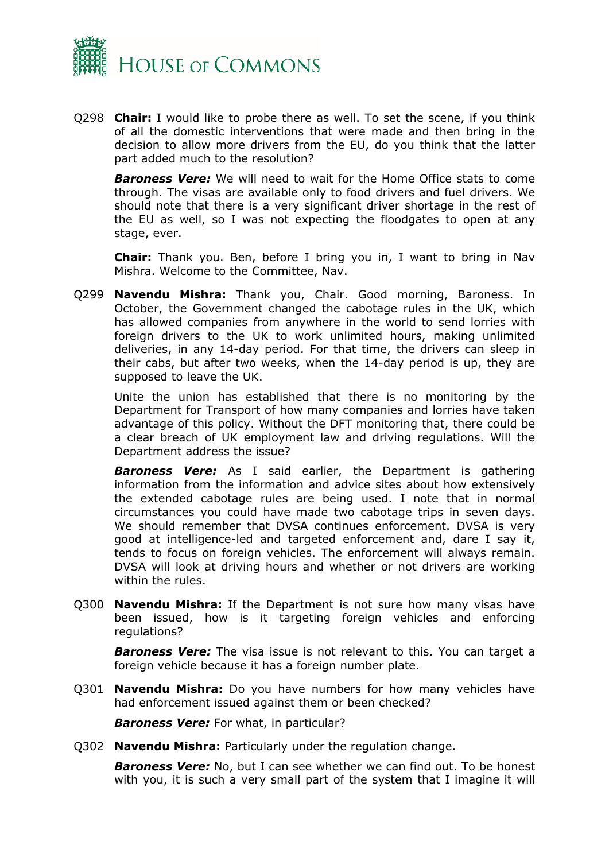

Q298 **Chair:** I would like to probe there as well. To set the scene, if you think of all the domestic interventions that were made and then bring in the decision to allow more drivers from the EU, do you think that the latter part added much to the resolution?

*Baroness Vere:* We will need to wait for the Home Office stats to come through. The visas are available only to food drivers and fuel drivers. We should note that there is a very significant driver shortage in the rest of the EU as well, so I was not expecting the floodgates to open at any stage, ever.

**Chair:** Thank you. Ben, before I bring you in, I want to bring in Nav Mishra. Welcome to the Committee, Nav.

Q299 **Navendu Mishra:** Thank you, Chair. Good morning, Baroness. In October, the Government changed the cabotage rules in the UK, which has allowed companies from anywhere in the world to send lorries with foreign drivers to the UK to work unlimited hours, making unlimited deliveries, in any 14-day period. For that time, the drivers can sleep in their cabs, but after two weeks, when the 14-day period is up, they are supposed to leave the UK.

Unite the union has established that there is no monitoring by the Department for Transport of how many companies and lorries have taken advantage of this policy. Without the DFT monitoring that, there could be a clear breach of UK employment law and driving regulations. Will the Department address the issue?

*Baroness Vere:* As I said earlier, the Department is gathering information from the information and advice sites about how extensively the extended cabotage rules are being used. I note that in normal circumstances you could have made two cabotage trips in seven days. We should remember that DVSA continues enforcement. DVSA is very good at intelligence-led and targeted enforcement and, dare I say it, tends to focus on foreign vehicles. The enforcement will always remain. DVSA will look at driving hours and whether or not drivers are working within the rules.

Q300 **Navendu Mishra:** If the Department is not sure how many visas have been issued, how is it targeting foreign vehicles and enforcing regulations?

*Baroness Vere:* The visa issue is not relevant to this. You can target a foreign vehicle because it has a foreign number plate.

Q301 **Navendu Mishra:** Do you have numbers for how many vehicles have had enforcement issued against them or been checked?

*Baroness Vere:* For what, in particular?

Q302 **Navendu Mishra:** Particularly under the regulation change.

*Baroness Vere:* No, but I can see whether we can find out. To be honest with you, it is such a very small part of the system that I imagine it will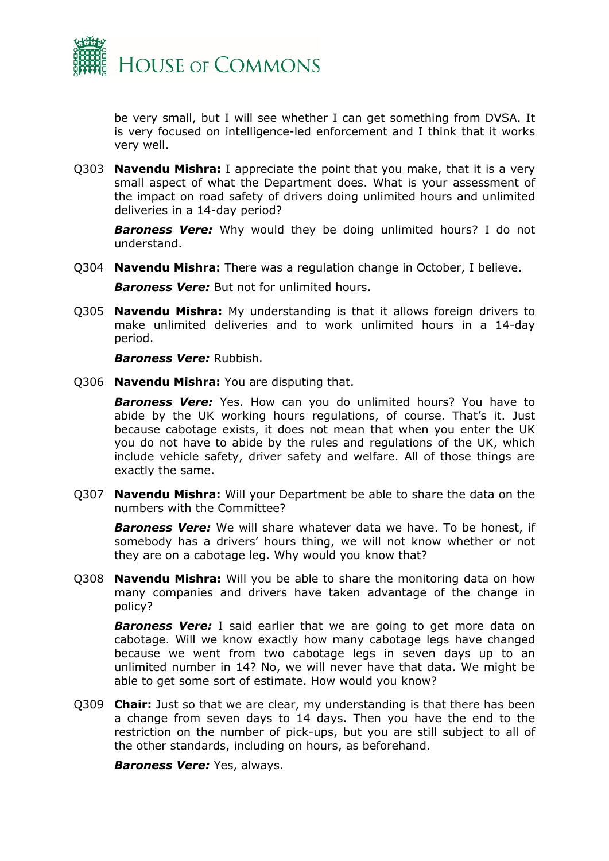

be very small, but I will see whether I can get something from DVSA. It is very focused on intelligence-led enforcement and I think that it works very well.

Q303 **Navendu Mishra:** I appreciate the point that you make, that it is a very small aspect of what the Department does. What is your assessment of the impact on road safety of drivers doing unlimited hours and unlimited deliveries in a 14-day period?

*Baroness Vere:* Why would they be doing unlimited hours? I do not understand.

Q304 **Navendu Mishra:** There was a regulation change in October, I believe.

*Baroness Vere:* But not for unlimited hours.

Q305 **Navendu Mishra:** My understanding is that it allows foreign drivers to make unlimited deliveries and to work unlimited hours in a 14-day period.

*Baroness Vere:* Rubbish.

Q306 **Navendu Mishra:** You are disputing that.

*Baroness Vere:* Yes. How can you do unlimited hours? You have to abide by the UK working hours regulations, of course. That's it. Just because cabotage exists, it does not mean that when you enter the UK you do not have to abide by the rules and regulations of the UK, which include vehicle safety, driver safety and welfare. All of those things are exactly the same.

Q307 **Navendu Mishra:** Will your Department be able to share the data on the numbers with the Committee?

*Baroness Vere:* We will share whatever data we have. To be honest, if somebody has a drivers' hours thing, we will not know whether or not they are on a cabotage leg. Why would you know that?

Q308 **Navendu Mishra:** Will you be able to share the monitoring data on how many companies and drivers have taken advantage of the change in policy?

**Baroness Vere:** I said earlier that we are going to get more data on cabotage. Will we know exactly how many cabotage legs have changed because we went from two cabotage legs in seven days up to an unlimited number in 14? No, we will never have that data. We might be able to get some sort of estimate. How would you know?

Q309 **Chair:** Just so that we are clear, my understanding is that there has been a change from seven days to 14 days. Then you have the end to the restriction on the number of pick-ups, but you are still subject to all of the other standards, including on hours, as beforehand.

*Baroness Vere:* Yes, always.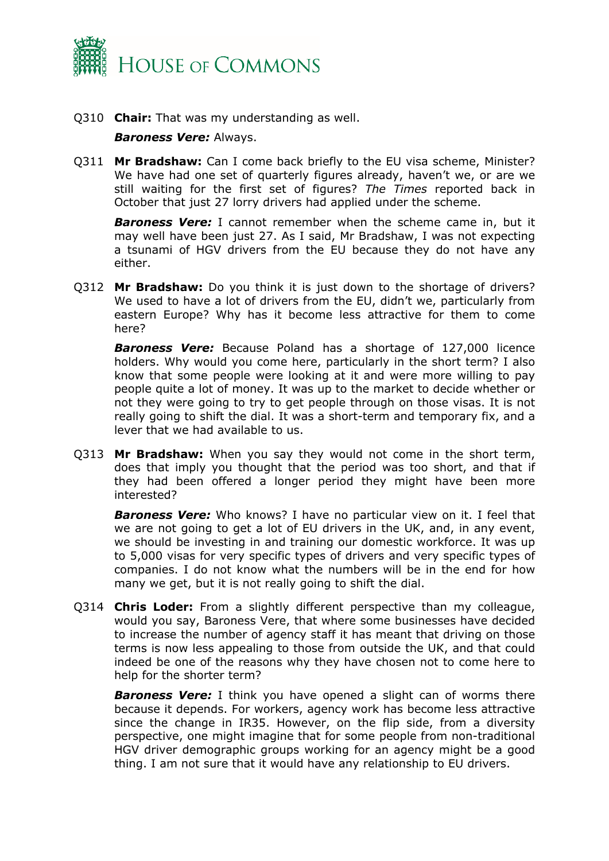

Q310 **Chair:** That was my understanding as well.

#### *Baroness Vere:* Always.

Q311 **Mr Bradshaw:** Can I come back briefly to the EU visa scheme, Minister? We have had one set of quarterly figures already, haven't we, or are we still waiting for the first set of figures? *The Times* reported back in October that just 27 lorry drivers had applied under the scheme.

*Baroness Vere:* I cannot remember when the scheme came in, but it may well have been just 27. As I said, Mr Bradshaw, I was not expecting a tsunami of HGV drivers from the EU because they do not have any either.

Q312 **Mr Bradshaw:** Do you think it is just down to the shortage of drivers? We used to have a lot of drivers from the EU, didn't we, particularly from eastern Europe? Why has it become less attractive for them to come here?

*Baroness Vere:* Because Poland has a shortage of 127,000 licence holders. Why would you come here, particularly in the short term? I also know that some people were looking at it and were more willing to pay people quite a lot of money. It was up to the market to decide whether or not they were going to try to get people through on those visas. It is not really going to shift the dial. It was a short-term and temporary fix, and a lever that we had available to us.

Q313 **Mr Bradshaw:** When you say they would not come in the short term, does that imply you thought that the period was too short, and that if they had been offered a longer period they might have been more interested?

*Baroness Vere:* Who knows? I have no particular view on it. I feel that we are not going to get a lot of EU drivers in the UK, and, in any event, we should be investing in and training our domestic workforce. It was up to 5,000 visas for very specific types of drivers and very specific types of companies. I do not know what the numbers will be in the end for how many we get, but it is not really going to shift the dial.

Q314 **Chris Loder:** From a slightly different perspective than my colleague, would you say, Baroness Vere, that where some businesses have decided to increase the number of agency staff it has meant that driving on those terms is now less appealing to those from outside the UK, and that could indeed be one of the reasons why they have chosen not to come here to help for the shorter term?

**Baroness Vere:** I think you have opened a slight can of worms there because it depends. For workers, agency work has become less attractive since the change in IR35. However, on the flip side, from a diversity perspective, one might imagine that for some people from non-traditional HGV driver demographic groups working for an agency might be a good thing. I am not sure that it would have any relationship to EU drivers.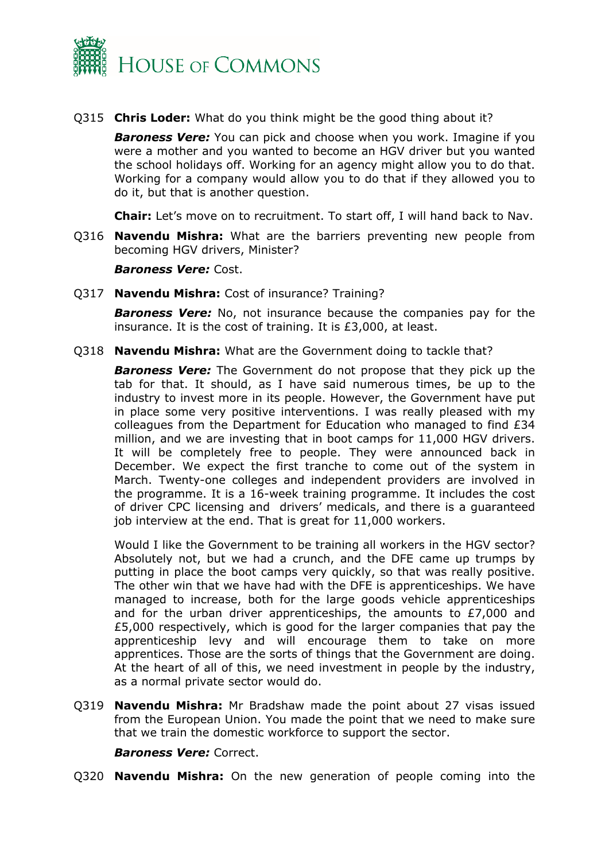

Q315 **Chris Loder:** What do you think might be the good thing about it?

*Baroness Vere:* You can pick and choose when you work. Imagine if you were a mother and you wanted to become an HGV driver but you wanted the school holidays off. Working for an agency might allow you to do that. Working for a company would allow you to do that if they allowed you to do it, but that is another question.

**Chair:** Let's move on to recruitment. To start off, I will hand back to Nav.

Q316 **Navendu Mishra:** What are the barriers preventing new people from becoming HGV drivers, Minister?

*Baroness Vere:* Cost.

Q317 **Navendu Mishra:** Cost of insurance? Training?

*Baroness Vere:* No, not insurance because the companies pay for the insurance. It is the cost of training. It is £3,000, at least.

Q318 **Navendu Mishra:** What are the Government doing to tackle that?

*Baroness Vere:* The Government do not propose that they pick up the tab for that. It should, as I have said numerous times, be up to the industry to invest more in its people. However, the Government have put in place some very positive interventions. I was really pleased with my colleagues from the Department for Education who managed to find £34 million, and we are investing that in boot camps for 11,000 HGV drivers. It will be completely free to people. They were announced back in December. We expect the first tranche to come out of the system in March. Twenty-one colleges and independent providers are involved in the programme. It is a 16-week training programme. It includes the cost of driver CPC licensing and drivers' medicals, and there is a guaranteed job interview at the end. That is great for 11,000 workers.

Would I like the Government to be training all workers in the HGV sector? Absolutely not, but we had a crunch, and the DFE came up trumps by putting in place the boot camps very quickly, so that was really positive. The other win that we have had with the DFE is apprenticeships. We have managed to increase, both for the large goods vehicle apprenticeships and for the urban driver apprenticeships, the amounts to  $E7,000$  and £5,000 respectively, which is good for the larger companies that pay the apprenticeship levy and will encourage them to take on more apprentices. Those are the sorts of things that the Government are doing. At the heart of all of this, we need investment in people by the industry, as a normal private sector would do.

Q319 **Navendu Mishra:** Mr Bradshaw made the point about 27 visas issued from the European Union. You made the point that we need to make sure that we train the domestic workforce to support the sector.

*Baroness Vere:* Correct.

Q320 **Navendu Mishra:** On the new generation of people coming into the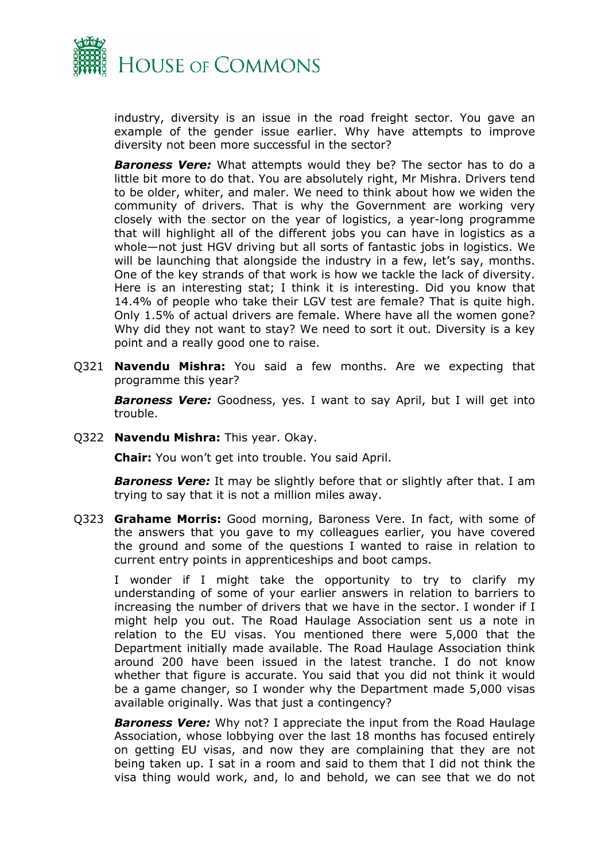

industry, diversity is an issue in the road freight sector. You gave an example of the gender issue earlier. Why have attempts to improve diversity not been more successful in the sector?

*Baroness Vere:* What attempts would they be? The sector has to do a little bit more to do that. You are absolutely right, Mr Mishra. Drivers tend to be older, whiter, and maler. We need to think about how we widen the community of drivers. That is why the Government are working very closely with the sector on the year of logistics, a year-long programme that will highlight all of the different jobs you can have in logistics as a whole—not just HGV driving but all sorts of fantastic jobs in logistics. We will be launching that alongside the industry in a few, let's say, months. One of the key strands of that work is how we tackle the lack of diversity. Here is an interesting stat; I think it is interesting. Did you know that 14.4% of people who take their LGV test are female? That is quite high. Only 1.5% of actual drivers are female. Where have all the women gone? Why did they not want to stay? We need to sort it out. Diversity is a key point and a really good one to raise.

Q321 **Navendu Mishra:** You said a few months. Are we expecting that programme this year?

*Baroness Vere:* Goodness, yes. I want to say April, but I will get into trouble.

Q322 **Navendu Mishra:** This year. Okay.

**Chair:** You won't get into trouble. You said April.

*Baroness Vere:* It may be slightly before that or slightly after that. I am trying to say that it is not a million miles away.

Q323 **Grahame Morris:** Good morning, Baroness Vere. In fact, with some of the answers that you gave to my colleagues earlier, you have covered the ground and some of the questions I wanted to raise in relation to current entry points in apprenticeships and boot camps.

I wonder if I might take the opportunity to try to clarify my understanding of some of your earlier answers in relation to barriers to increasing the number of drivers that we have in the sector. I wonder if I might help you out. The Road Haulage Association sent us a note in relation to the EU visas. You mentioned there were 5,000 that the Department initially made available. The Road Haulage Association think around 200 have been issued in the latest tranche. I do not know whether that figure is accurate. You said that you did not think it would be a game changer, so I wonder why the Department made 5,000 visas available originally. Was that just a contingency?

*Baroness Vere:* Why not? I appreciate the input from the Road Haulage Association, whose lobbying over the last 18 months has focused entirely on getting EU visas, and now they are complaining that they are not being taken up. I sat in a room and said to them that I did not think the visa thing would work, and, lo and behold, we can see that we do not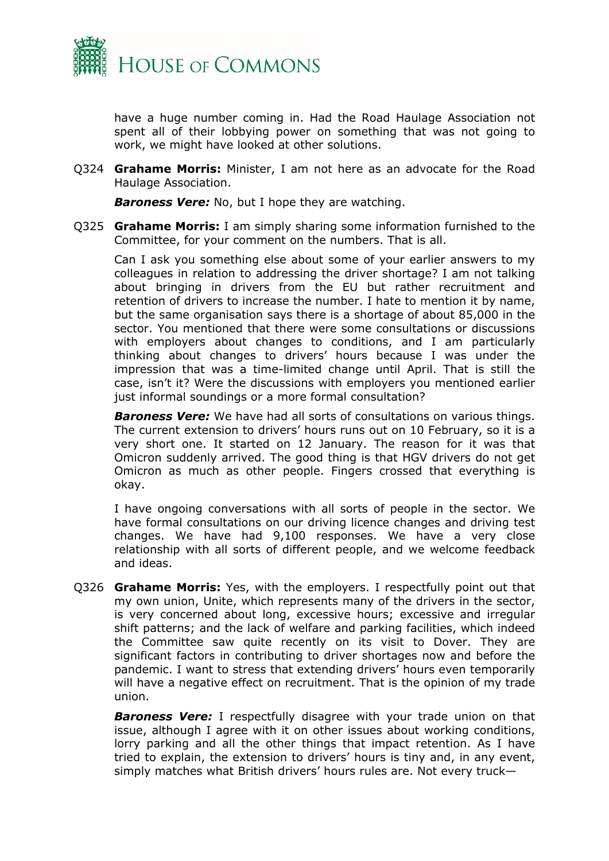

have a huge number coming in. Had the Road Haulage Association not spent all of their lobbying power on something that was not going to work, we might have looked at other solutions.

Q324 **Grahame Morris:** Minister, I am not here as an advocate for the Road Haulage Association.

*Baroness Vere:* No, but I hope they are watching.

Q325 **Grahame Morris:** I am simply sharing some information furnished to the Committee, for your comment on the numbers. That is all.

Can I ask you something else about some of your earlier answers to my colleagues in relation to addressing the driver shortage? I am not talking about bringing in drivers from the EU but rather recruitment and retention of drivers to increase the number. I hate to mention it by name, but the same organisation says there is a shortage of about 85,000 in the sector. You mentioned that there were some consultations or discussions with employers about changes to conditions, and I am particularly thinking about changes to drivers' hours because I was under the impression that was a time-limited change until April. That is still the case, isn't it? Were the discussions with employers you mentioned earlier just informal soundings or a more formal consultation?

*Baroness Vere:* We have had all sorts of consultations on various things. The current extension to drivers' hours runs out on 10 February, so it is a very short one. It started on 12 January. The reason for it was that Omicron suddenly arrived. The good thing is that HGV drivers do not get Omicron as much as other people. Fingers crossed that everything is okay.

I have ongoing conversations with all sorts of people in the sector. We have formal consultations on our driving licence changes and driving test changes. We have had 9,100 responses. We have a very close relationship with all sorts of different people, and we welcome feedback and ideas.

Q326 **Grahame Morris:** Yes, with the employers. I respectfully point out that my own union, Unite, which represents many of the drivers in the sector, is very concerned about long, excessive hours; excessive and irregular shift patterns; and the lack of welfare and parking facilities, which indeed the Committee saw quite recently on its visit to Dover. They are significant factors in contributing to driver shortages now and before the pandemic. I want to stress that extending drivers' hours even temporarily will have a negative effect on recruitment. That is the opinion of my trade union.

*Baroness Vere:* I respectfully disagree with your trade union on that issue, although I agree with it on other issues about working conditions, lorry parking and all the other things that impact retention. As I have tried to explain, the extension to drivers' hours is tiny and, in any event, simply matches what British drivers' hours rules are. Not every truck—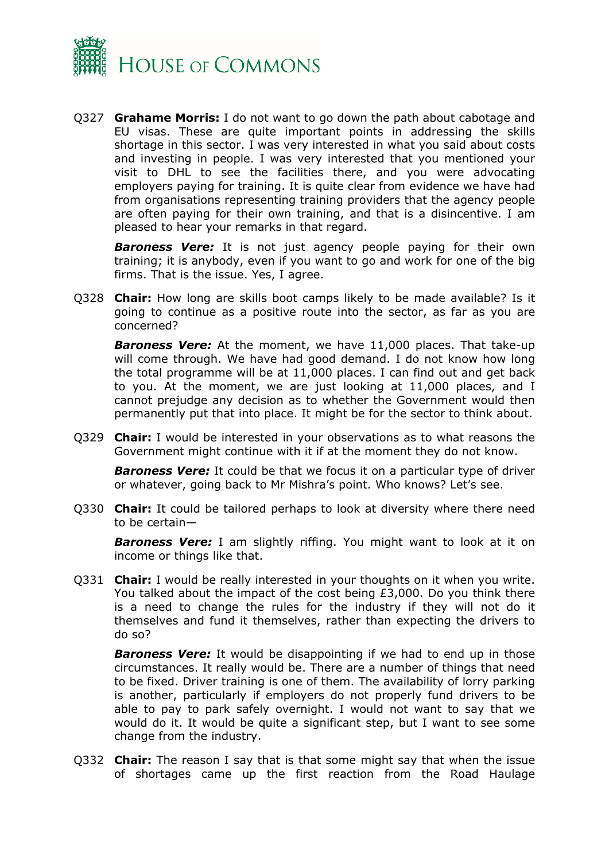

Q327 **Grahame Morris:** I do not want to go down the path about cabotage and EU visas. These are quite important points in addressing the skills shortage in this sector. I was very interested in what you said about costs and investing in people. I was very interested that you mentioned your visit to DHL to see the facilities there, and you were advocating employers paying for training. It is quite clear from evidence we have had from organisations representing training providers that the agency people are often paying for their own training, and that is a disincentive. I am pleased to hear your remarks in that regard.

**Baroness Vere:** It is not just agency people paying for their own training; it is anybody, even if you want to go and work for one of the big firms. That is the issue. Yes, I agree.

Q328 **Chair:** How long are skills boot camps likely to be made available? Is it going to continue as a positive route into the sector, as far as you are concerned?

*Baroness Vere:* At the moment, we have 11,000 places. That take-up will come through. We have had good demand. I do not know how long the total programme will be at 11,000 places. I can find out and get back to you. At the moment, we are just looking at 11,000 places, and I cannot prejudge any decision as to whether the Government would then permanently put that into place. It might be for the sector to think about.

Q329 **Chair:** I would be interested in your observations as to what reasons the Government might continue with it if at the moment they do not know.

*Baroness Vere:* It could be that we focus it on a particular type of driver or whatever, going back to Mr Mishra's point. Who knows? Let's see.

Q330 **Chair:** It could be tailored perhaps to look at diversity where there need to be certain—

*Baroness Vere:* I am slightly riffing. You might want to look at it on income or things like that.

Q331 **Chair:** I would be really interested in your thoughts on it when you write. You talked about the impact of the cost being £3,000. Do you think there is a need to change the rules for the industry if they will not do it themselves and fund it themselves, rather than expecting the drivers to do so?

**Baroness Vere:** It would be disappointing if we had to end up in those circumstances. It really would be. There are a number of things that need to be fixed. Driver training is one of them. The availability of lorry parking is another, particularly if employers do not properly fund drivers to be able to pay to park safely overnight. I would not want to say that we would do it. It would be quite a significant step, but I want to see some change from the industry.

Q332 **Chair:** The reason I say that is that some might say that when the issue of shortages came up the first reaction from the Road Haulage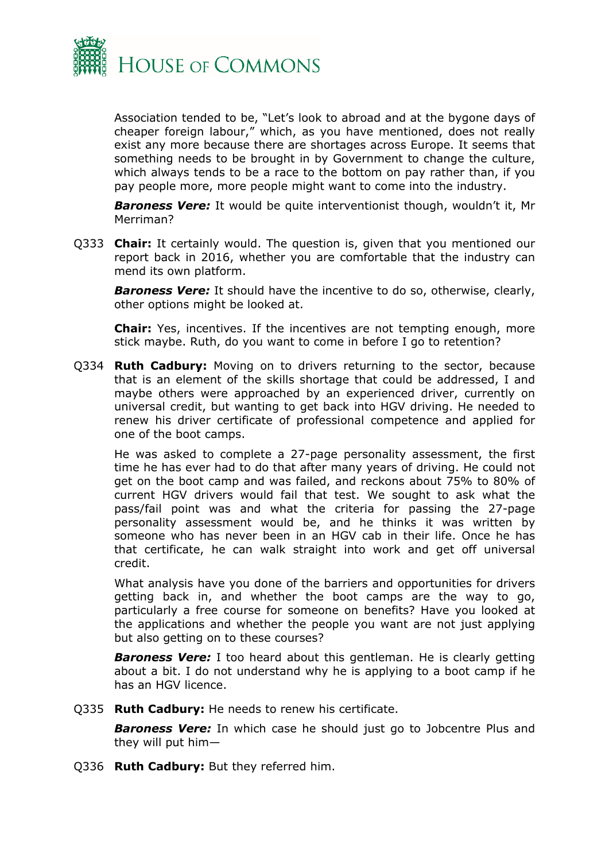

Association tended to be, "Let's look to abroad and at the bygone days of cheaper foreign labour," which, as you have mentioned, does not really exist any more because there are shortages across Europe. It seems that something needs to be brought in by Government to change the culture, which always tends to be a race to the bottom on pay rather than, if you pay people more, more people might want to come into the industry.

*Baroness Vere:* It would be quite interventionist though, wouldn't it, Mr Merriman?

Q333 **Chair:** It certainly would. The question is, given that you mentioned our report back in 2016, whether you are comfortable that the industry can mend its own platform.

*Baroness Vere:* It should have the incentive to do so, otherwise, clearly, other options might be looked at.

**Chair:** Yes, incentives. If the incentives are not tempting enough, more stick maybe. Ruth, do you want to come in before I go to retention?

Q334 **Ruth Cadbury:** Moving on to drivers returning to the sector, because that is an element of the skills shortage that could be addressed, I and maybe others were approached by an experienced driver, currently on universal credit, but wanting to get back into HGV driving. He needed to renew his driver certificate of professional competence and applied for one of the boot camps.

He was asked to complete a 27-page personality assessment, the first time he has ever had to do that after many years of driving. He could not get on the boot camp and was failed, and reckons about 75% to 80% of current HGV drivers would fail that test. We sought to ask what the pass/fail point was and what the criteria for passing the 27-page personality assessment would be, and he thinks it was written by someone who has never been in an HGV cab in their life. Once he has that certificate, he can walk straight into work and get off universal credit.

What analysis have you done of the barriers and opportunities for drivers getting back in, and whether the boot camps are the way to go, particularly a free course for someone on benefits? Have you looked at the applications and whether the people you want are not just applying but also getting on to these courses?

*Baroness Vere:* I too heard about this gentleman. He is clearly getting about a bit. I do not understand why he is applying to a boot camp if he has an HGV licence.

Q335 **Ruth Cadbury:** He needs to renew his certificate.

*Baroness Vere:* In which case he should just go to Jobcentre Plus and they will put him—

Q336 **Ruth Cadbury:** But they referred him.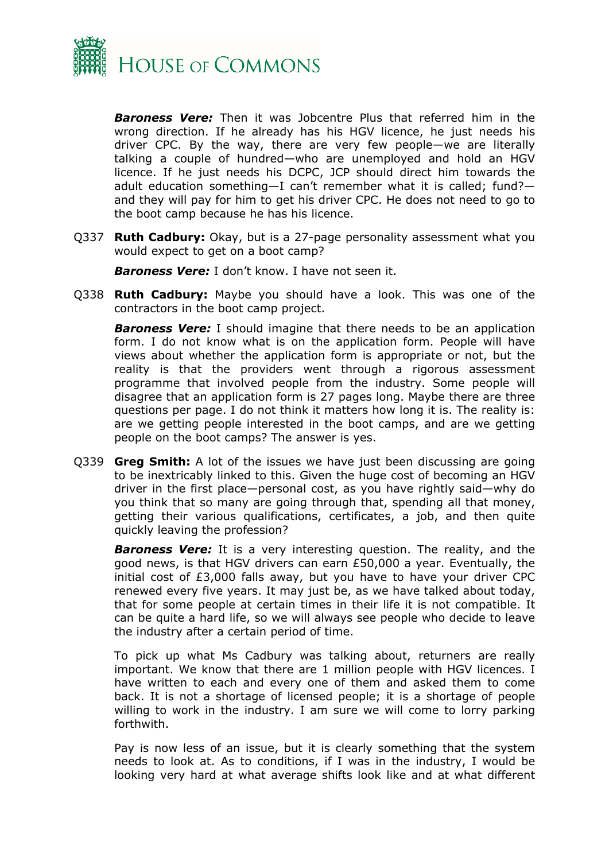

*Baroness Vere:* Then it was Jobcentre Plus that referred him in the wrong direction. If he already has his HGV licence, he just needs his driver CPC. By the way, there are very few people—we are literally talking a couple of hundred—who are unemployed and hold an HGV licence. If he just needs his DCPC, JCP should direct him towards the adult education something—I can't remember what it is called; fund? and they will pay for him to get his driver CPC. He does not need to go to the boot camp because he has his licence.

Q337 **Ruth Cadbury:** Okay, but is a 27-page personality assessment what you would expect to get on a boot camp?

*Baroness Vere:* I don't know. I have not seen it.

Q338 **Ruth Cadbury:** Maybe you should have a look. This was one of the contractors in the boot camp project.

*Baroness Vere:* I should imagine that there needs to be an application form. I do not know what is on the application form. People will have views about whether the application form is appropriate or not, but the reality is that the providers went through a rigorous assessment programme that involved people from the industry. Some people will disagree that an application form is 27 pages long. Maybe there are three questions per page. I do not think it matters how long it is. The reality is: are we getting people interested in the boot camps, and are we getting people on the boot camps? The answer is yes.

Q339 **Greg Smith:** A lot of the issues we have just been discussing are going to be inextricably linked to this. Given the huge cost of becoming an HGV driver in the first place—personal cost, as you have rightly said—why do you think that so many are going through that, spending all that money, getting their various qualifications, certificates, a job, and then quite quickly leaving the profession?

**Baroness Vere:** It is a very interesting question. The reality, and the good news, is that HGV drivers can earn £50,000 a year. Eventually, the initial cost of £3,000 falls away, but you have to have your driver CPC renewed every five years. It may just be, as we have talked about today, that for some people at certain times in their life it is not compatible. It can be quite a hard life, so we will always see people who decide to leave the industry after a certain period of time.

To pick up what Ms Cadbury was talking about, returners are really important. We know that there are 1 million people with HGV licences. I have written to each and every one of them and asked them to come back. It is not a shortage of licensed people; it is a shortage of people willing to work in the industry. I am sure we will come to lorry parking forthwith.

Pay is now less of an issue, but it is clearly something that the system needs to look at. As to conditions, if I was in the industry, I would be looking very hard at what average shifts look like and at what different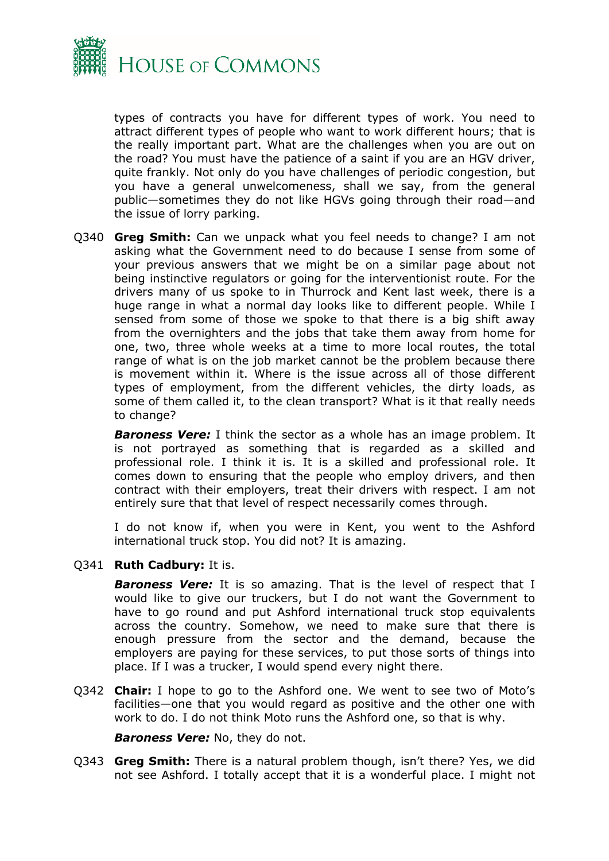

types of contracts you have for different types of work. You need to attract different types of people who want to work different hours; that is the really important part. What are the challenges when you are out on the road? You must have the patience of a saint if you are an HGV driver, quite frankly. Not only do you have challenges of periodic congestion, but you have a general unwelcomeness, shall we say, from the general public—sometimes they do not like HGVs going through their road—and the issue of lorry parking.

Q340 **Greg Smith:** Can we unpack what you feel needs to change? I am not asking what the Government need to do because I sense from some of your previous answers that we might be on a similar page about not being instinctive regulators or going for the interventionist route. For the drivers many of us spoke to in Thurrock and Kent last week, there is a huge range in what a normal day looks like to different people. While I sensed from some of those we spoke to that there is a big shift away from the overnighters and the jobs that take them away from home for one, two, three whole weeks at a time to more local routes, the total range of what is on the job market cannot be the problem because there is movement within it. Where is the issue across all of those different types of employment, from the different vehicles, the dirty loads, as some of them called it, to the clean transport? What is it that really needs to change?

*Baroness Vere:* I think the sector as a whole has an image problem. It is not portrayed as something that is regarded as a skilled and professional role. I think it is. It is a skilled and professional role. It comes down to ensuring that the people who employ drivers, and then contract with their employers, treat their drivers with respect. I am not entirely sure that that level of respect necessarily comes through.

I do not know if, when you were in Kent, you went to the Ashford international truck stop. You did not? It is amazing.

#### Q341 **Ruth Cadbury:** It is.

*Baroness Vere:* It is so amazing. That is the level of respect that I would like to give our truckers, but I do not want the Government to have to go round and put Ashford international truck stop equivalents across the country. Somehow, we need to make sure that there is enough pressure from the sector and the demand, because the employers are paying for these services, to put those sorts of things into place. If I was a trucker, I would spend every night there.

Q342 **Chair:** I hope to go to the Ashford one. We went to see two of Moto's facilities—one that you would regard as positive and the other one with work to do. I do not think Moto runs the Ashford one, so that is why.

*Baroness Vere:* No, they do not.

Q343 **Greg Smith:** There is a natural problem though, isn't there? Yes, we did not see Ashford. I totally accept that it is a wonderful place. I might not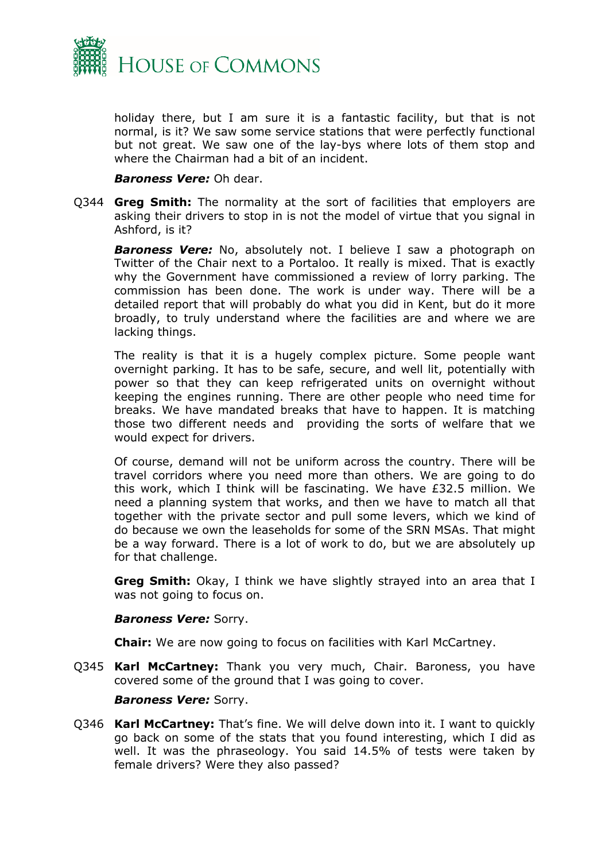

holiday there, but I am sure it is a fantastic facility, but that is not normal, is it? We saw some service stations that were perfectly functional but not great. We saw one of the lay-bys where lots of them stop and where the Chairman had a bit of an incident.

#### *Baroness Vere:* Oh dear.

Q344 **Greg Smith:** The normality at the sort of facilities that employers are asking their drivers to stop in is not the model of virtue that you signal in Ashford, is it?

**Baroness Vere:** No, absolutely not. I believe I saw a photograph on Twitter of the Chair next to a Portaloo. It really is mixed. That is exactly why the Government have commissioned a review of lorry parking. The commission has been done. The work is under way. There will be a detailed report that will probably do what you did in Kent, but do it more broadly, to truly understand where the facilities are and where we are lacking things.

The reality is that it is a hugely complex picture. Some people want overnight parking. It has to be safe, secure, and well lit, potentially with power so that they can keep refrigerated units on overnight without keeping the engines running. There are other people who need time for breaks. We have mandated breaks that have to happen. It is matching those two different needs and providing the sorts of welfare that we would expect for drivers.

Of course, demand will not be uniform across the country. There will be travel corridors where you need more than others. We are going to do this work, which I think will be fascinating. We have £32.5 million. We need a planning system that works, and then we have to match all that together with the private sector and pull some levers, which we kind of do because we own the leaseholds for some of the SRN MSAs. That might be a way forward. There is a lot of work to do, but we are absolutely up for that challenge.

**Greg Smith:** Okay, I think we have slightly strayed into an area that I was not going to focus on.

#### *Baroness Vere:* Sorry.

**Chair:** We are now going to focus on facilities with Karl McCartney.

Q345 **Karl McCartney:** Thank you very much, Chair. Baroness, you have covered some of the ground that I was going to cover.

#### *Baroness Vere:* Sorry.

Q346 **Karl McCartney:** That's fine. We will delve down into it. I want to quickly go back on some of the stats that you found interesting, which I did as well. It was the phraseology. You said 14.5% of tests were taken by female drivers? Were they also passed?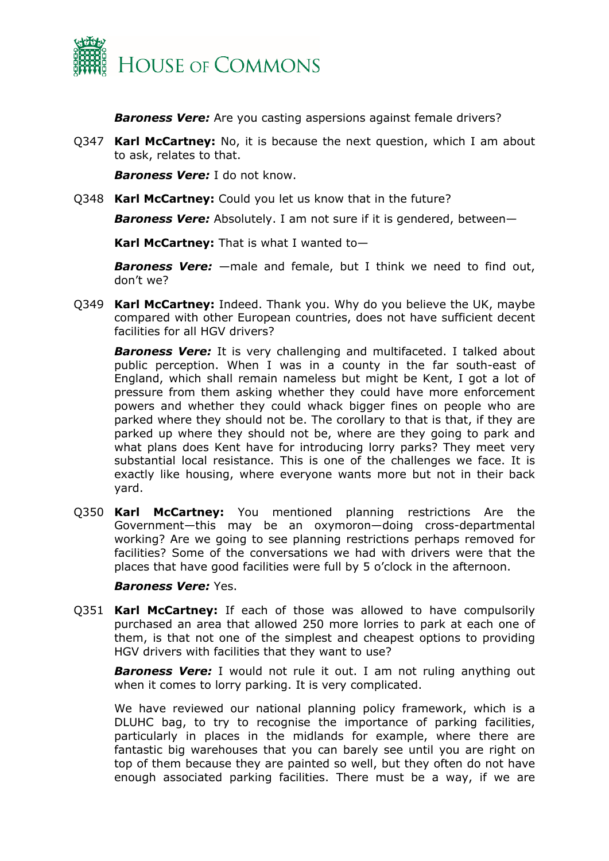

*Baroness Vere:* Are you casting aspersions against female drivers?

Q347 **Karl McCartney:** No, it is because the next question, which I am about to ask, relates to that.

*Baroness Vere:* I do not know.

Q348 **Karl McCartney:** Could you let us know that in the future?

*Baroness Vere:* Absolutely. I am not sure if it is gendered, between—

**Karl McCartney:** That is what I wanted to—

*Baroness Vere:* —male and female, but I think we need to find out, don't we?

Q349 **Karl McCartney:** Indeed. Thank you. Why do you believe the UK, maybe compared with other European countries, does not have sufficient decent facilities for all HGV drivers?

*Baroness Vere:* It is very challenging and multifaceted. I talked about public perception. When I was in a county in the far south-east of England, which shall remain nameless but might be Kent, I got a lot of pressure from them asking whether they could have more enforcement powers and whether they could whack bigger fines on people who are parked where they should not be. The corollary to that is that, if they are parked up where they should not be, where are they going to park and what plans does Kent have for introducing lorry parks? They meet very substantial local resistance. This is one of the challenges we face. It is exactly like housing, where everyone wants more but not in their back yard.

Q350 **Karl McCartney:** You mentioned planning restrictions Are the Government—this may be an oxymoron—doing cross-departmental working? Are we going to see planning restrictions perhaps removed for facilities? Some of the conversations we had with drivers were that the places that have good facilities were full by 5 o'clock in the afternoon.

#### *Baroness Vere:* Yes.

Q351 **Karl McCartney:** If each of those was allowed to have compulsorily purchased an area that allowed 250 more lorries to park at each one of them, is that not one of the simplest and cheapest options to providing HGV drivers with facilities that they want to use?

**Baroness Vere:** I would not rule it out. I am not ruling anything out when it comes to lorry parking. It is very complicated.

We have reviewed our national planning policy framework, which is a DLUHC bag, to try to recognise the importance of parking facilities, particularly in places in the midlands for example, where there are fantastic big warehouses that you can barely see until you are right on top of them because they are painted so well, but they often do not have enough associated parking facilities. There must be a way, if we are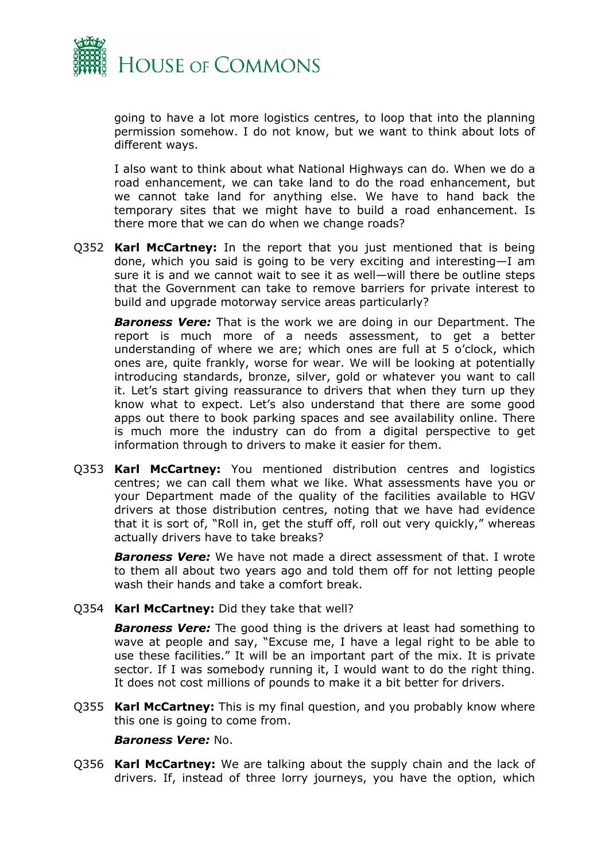

going to have a lot more logistics centres, to loop that into the planning permission somehow. I do not know, but we want to think about lots of different ways.

I also want to think about what National Highways can do. When we do a road enhancement, we can take land to do the road enhancement, but we cannot take land for anything else. We have to hand back the temporary sites that we might have to build a road enhancement. Is there more that we can do when we change roads?

Q352 **Karl McCartney:** In the report that you just mentioned that is being done, which you said is going to be very exciting and interesting—I am sure it is and we cannot wait to see it as well—will there be outline steps that the Government can take to remove barriers for private interest to build and upgrade motorway service areas particularly?

*Baroness Vere:* That is the work we are doing in our Department. The report is much more of a needs assessment, to get a better understanding of where we are; which ones are full at 5 o'clock, which ones are, quite frankly, worse for wear. We will be looking at potentially introducing standards, bronze, silver, gold or whatever you want to call it. Let's start giving reassurance to drivers that when they turn up they know what to expect. Let's also understand that there are some good apps out there to book parking spaces and see availability online. There is much more the industry can do from a digital perspective to get information through to drivers to make it easier for them.

Q353 **Karl McCartney:** You mentioned distribution centres and logistics centres; we can call them what we like. What assessments have you or your Department made of the quality of the facilities available to HGV drivers at those distribution centres, noting that we have had evidence that it is sort of, "Roll in, get the stuff off, roll out very quickly," whereas actually drivers have to take breaks?

*Baroness Vere:* We have not made a direct assessment of that. I wrote to them all about two years ago and told them off for not letting people wash their hands and take a comfort break.

Q354 **Karl McCartney:** Did they take that well?

*Baroness Vere:* The good thing is the drivers at least had something to wave at people and say, "Excuse me, I have a legal right to be able to use these facilities." It will be an important part of the mix. It is private sector. If I was somebody running it, I would want to do the right thing. It does not cost millions of pounds to make it a bit better for drivers.

Q355 **Karl McCartney:** This is my final question, and you probably know where this one is going to come from.

#### *Baroness Vere:* No.

Q356 **Karl McCartney:** We are talking about the supply chain and the lack of drivers. If, instead of three lorry journeys, you have the option, which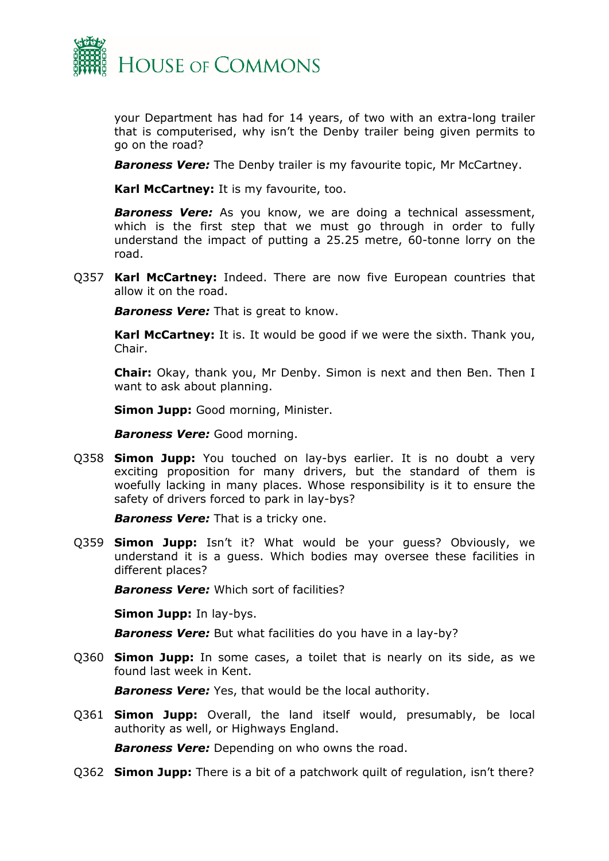

your Department has had for 14 years, of two with an extra-long trailer that is computerised, why isn't the Denby trailer being given permits to go on the road?

*Baroness Vere:* The Denby trailer is my favourite topic, Mr McCartney.

**Karl McCartney:** It is my favourite, too.

*Baroness Vere:* As you know, we are doing a technical assessment, which is the first step that we must go through in order to fully understand the impact of putting a 25.25 metre, 60-tonne lorry on the road.

Q357 **Karl McCartney:** Indeed. There are now five European countries that allow it on the road.

*Baroness Vere:* That is great to know.

**Karl McCartney:** It is. It would be good if we were the sixth. Thank you, Chair.

**Chair:** Okay, thank you, Mr Denby. Simon is next and then Ben. Then I want to ask about planning.

**Simon Jupp:** Good morning, Minister.

*Baroness Vere:* Good morning.

Q358 **Simon Jupp:** You touched on lay-bys earlier. It is no doubt a very exciting proposition for many drivers, but the standard of them is woefully lacking in many places. Whose responsibility is it to ensure the safety of drivers forced to park in lay-bys?

*Baroness Vere:* That is a tricky one.

Q359 **Simon Jupp:** Isn't it? What would be your guess? Obviously, we understand it is a guess. Which bodies may oversee these facilities in different places?

*Baroness Vere:* Which sort of facilities?

**Simon Jupp:** In lay-bys.

*Baroness Vere:* But what facilities do you have in a lay-by?

Q360 **Simon Jupp:** In some cases, a toilet that is nearly on its side, as we found last week in Kent.

*Baroness Vere:* Yes, that would be the local authority.

Q361 **Simon Jupp:** Overall, the land itself would, presumably, be local authority as well, or Highways England.

**Baroness Vere:** Depending on who owns the road.

Q362 **Simon Jupp:** There is a bit of a patchwork quilt of regulation, isn't there?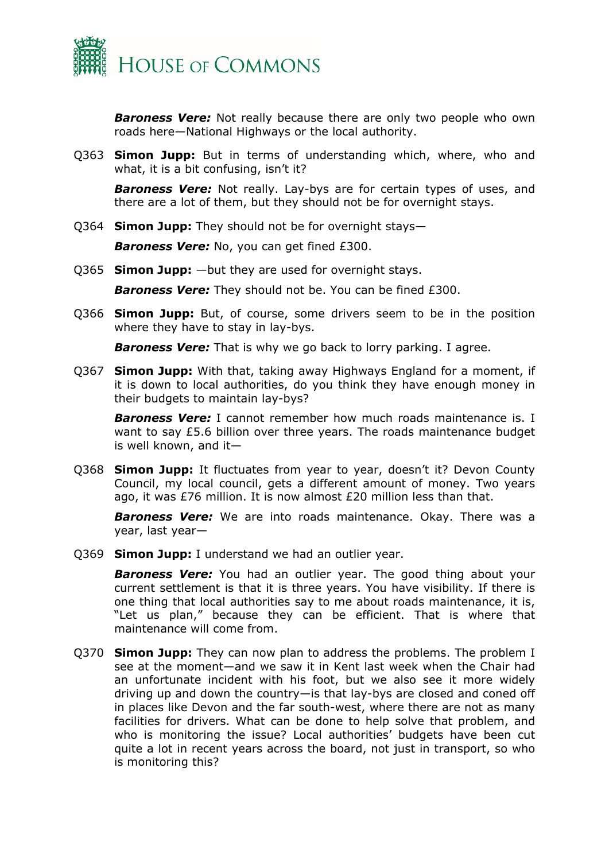

**Baroness Vere:** Not really because there are only two people who own roads here—National Highways or the local authority.

Q363 **Simon Jupp:** But in terms of understanding which, where, who and what, it is a bit confusing, isn't it?

*Baroness Vere:* Not really. Lay-bys are for certain types of uses, and there are a lot of them, but they should not be for overnight stays.

Q364 **Simon Jupp:** They should not be for overnight stays—

*Baroness Vere:* No, you can get fined £300.

Q365 **Simon Jupp:** —but they are used for overnight stays.

*Baroness Vere:* They should not be. You can be fined £300.

Q366 **Simon Jupp:** But, of course, some drivers seem to be in the position where they have to stay in lay-bys.

*Baroness Vere:* That is why we go back to lorry parking. I agree.

Q367 **Simon Jupp:** With that, taking away Highways England for a moment, if it is down to local authorities, do you think they have enough money in their budgets to maintain lay-bys?

*Baroness Vere:* I cannot remember how much roads maintenance is. I want to say £5.6 billion over three years. The roads maintenance budget is well known, and it—

Q368 **Simon Jupp:** It fluctuates from year to year, doesn't it? Devon County Council, my local council, gets a different amount of money. Two years ago, it was £76 million. It is now almost £20 million less than that.

*Baroness Vere:* We are into roads maintenance. Okay. There was a year, last year—

Q369 **Simon Jupp:** I understand we had an outlier year.

**Baroness Vere:** You had an outlier year. The good thing about your current settlement is that it is three years. You have visibility. If there is one thing that local authorities say to me about roads maintenance, it is, "Let us plan," because they can be efficient. That is where that maintenance will come from.

Q370 **Simon Jupp:** They can now plan to address the problems. The problem I see at the moment—and we saw it in Kent last week when the Chair had an unfortunate incident with his foot, but we also see it more widely driving up and down the country—is that lay-bys are closed and coned off in places like Devon and the far south-west, where there are not as many facilities for drivers. What can be done to help solve that problem, and who is monitoring the issue? Local authorities' budgets have been cut quite a lot in recent years across the board, not just in transport, so who is monitoring this?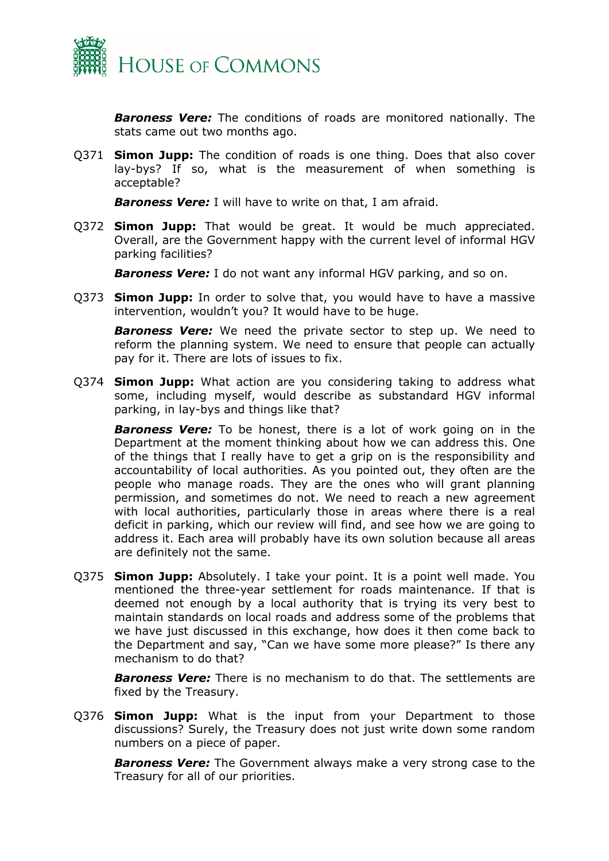

*Baroness Vere:* The conditions of roads are monitored nationally. The stats came out two months ago.

Q371 **Simon Jupp:** The condition of roads is one thing. Does that also cover lay-bys? If so, what is the measurement of when something is acceptable?

*Baroness Vere:* I will have to write on that, I am afraid.

Q372 **Simon Jupp:** That would be great. It would be much appreciated. Overall, are the Government happy with the current level of informal HGV parking facilities?

*Baroness Vere:* I do not want any informal HGV parking, and so on.

Q373 **Simon Jupp:** In order to solve that, you would have to have a massive intervention, wouldn't you? It would have to be huge.

*Baroness Vere:* We need the private sector to step up. We need to reform the planning system. We need to ensure that people can actually pay for it. There are lots of issues to fix.

Q374 **Simon Jupp:** What action are you considering taking to address what some, including myself, would describe as substandard HGV informal parking, in lay-bys and things like that?

*Baroness Vere:* To be honest, there is a lot of work going on in the Department at the moment thinking about how we can address this. One of the things that I really have to get a grip on is the responsibility and accountability of local authorities. As you pointed out, they often are the people who manage roads. They are the ones who will grant planning permission, and sometimes do not. We need to reach a new agreement with local authorities, particularly those in areas where there is a real deficit in parking, which our review will find, and see how we are going to address it. Each area will probably have its own solution because all areas are definitely not the same.

Q375 **Simon Jupp:** Absolutely. I take your point. It is a point well made. You mentioned the three-year settlement for roads maintenance. If that is deemed not enough by a local authority that is trying its very best to maintain standards on local roads and address some of the problems that we have just discussed in this exchange, how does it then come back to the Department and say, "Can we have some more please?" Is there any mechanism to do that?

*Baroness Vere:* There is no mechanism to do that. The settlements are fixed by the Treasury.

Q376 **Simon Jupp:** What is the input from your Department to those discussions? Surely, the Treasury does not just write down some random numbers on a piece of paper.

*Baroness Vere:* The Government always make a very strong case to the Treasury for all of our priorities.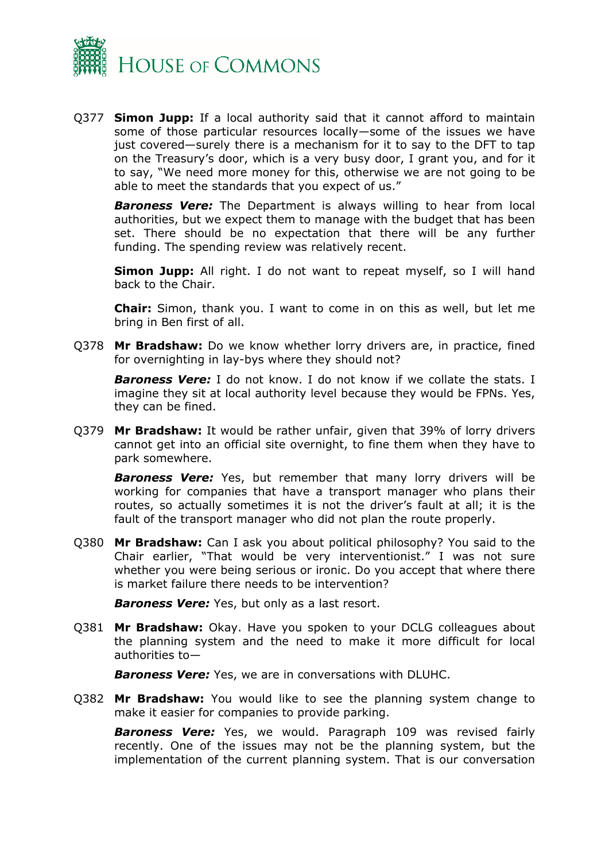

Q377 **Simon Jupp:** If a local authority said that it cannot afford to maintain some of those particular resources locally—some of the issues we have just covered—surely there is a mechanism for it to say to the DFT to tap on the Treasury's door, which is a very busy door, I grant you, and for it to say, "We need more money for this, otherwise we are not going to be able to meet the standards that you expect of us."

*Baroness Vere:* The Department is always willing to hear from local authorities, but we expect them to manage with the budget that has been set. There should be no expectation that there will be any further funding. The spending review was relatively recent.

**Simon Jupp:** All right. I do not want to repeat myself, so I will hand back to the Chair.

**Chair:** Simon, thank you. I want to come in on this as well, but let me bring in Ben first of all.

Q378 **Mr Bradshaw:** Do we know whether lorry drivers are, in practice, fined for overnighting in lay-bys where they should not?

*Baroness Vere:* I do not know. I do not know if we collate the stats. I imagine they sit at local authority level because they would be FPNs. Yes, they can be fined.

Q379 **Mr Bradshaw:** It would be rather unfair, given that 39% of lorry drivers cannot get into an official site overnight, to fine them when they have to park somewhere.

*Baroness Vere:* Yes, but remember that many lorry drivers will be working for companies that have a transport manager who plans their routes, so actually sometimes it is not the driver's fault at all; it is the fault of the transport manager who did not plan the route properly.

Q380 **Mr Bradshaw:** Can I ask you about political philosophy? You said to the Chair earlier, "That would be very interventionist." I was not sure whether you were being serious or ironic. Do you accept that where there is market failure there needs to be intervention?

*Baroness Vere:* Yes, but only as a last resort.

Q381 **Mr Bradshaw:** Okay. Have you spoken to your DCLG colleagues about the planning system and the need to make it more difficult for local authorities to—

*Baroness Vere:* Yes, we are in conversations with DLUHC.

Q382 **Mr Bradshaw:** You would like to see the planning system change to make it easier for companies to provide parking.

*Baroness Vere:* Yes, we would. Paragraph 109 was revised fairly recently. One of the issues may not be the planning system, but the implementation of the current planning system. That is our conversation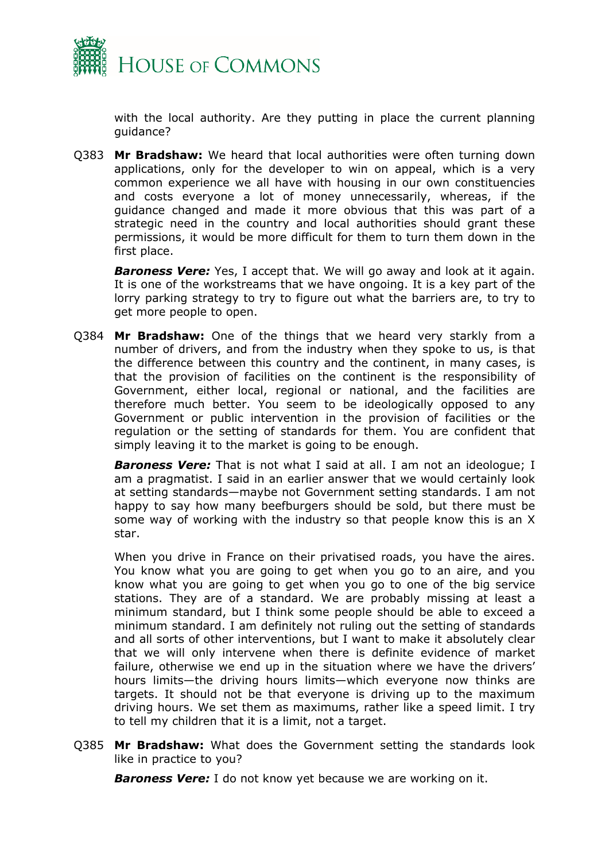

with the local authority. Are they putting in place the current planning guidance?

Q383 **Mr Bradshaw:** We heard that local authorities were often turning down applications, only for the developer to win on appeal, which is a very common experience we all have with housing in our own constituencies and costs everyone a lot of money unnecessarily, whereas, if the guidance changed and made it more obvious that this was part of a strategic need in the country and local authorities should grant these permissions, it would be more difficult for them to turn them down in the first place.

*Baroness Vere:* Yes, I accept that. We will go away and look at it again. It is one of the workstreams that we have ongoing. It is a key part of the lorry parking strategy to try to figure out what the barriers are, to try to get more people to open.

Q384 **Mr Bradshaw:** One of the things that we heard very starkly from a number of drivers, and from the industry when they spoke to us, is that the difference between this country and the continent, in many cases, is that the provision of facilities on the continent is the responsibility of Government, either local, regional or national, and the facilities are therefore much better. You seem to be ideologically opposed to any Government or public intervention in the provision of facilities or the regulation or the setting of standards for them. You are confident that simply leaving it to the market is going to be enough.

*Baroness Vere:* That is not what I said at all. I am not an ideologue; I am a pragmatist. I said in an earlier answer that we would certainly look at setting standards—maybe not Government setting standards. I am not happy to say how many beefburgers should be sold, but there must be some way of working with the industry so that people know this is an X star.

When you drive in France on their privatised roads, you have the aires. You know what you are going to get when you go to an aire, and you know what you are going to get when you go to one of the big service stations. They are of a standard. We are probably missing at least a minimum standard, but I think some people should be able to exceed a minimum standard. I am definitely not ruling out the setting of standards and all sorts of other interventions, but I want to make it absolutely clear that we will only intervene when there is definite evidence of market failure, otherwise we end up in the situation where we have the drivers' hours limits—the driving hours limits—which everyone now thinks are targets. It should not be that everyone is driving up to the maximum driving hours. We set them as maximums, rather like a speed limit. I try to tell my children that it is a limit, not a target.

Q385 **Mr Bradshaw:** What does the Government setting the standards look like in practice to you?

*Baroness Vere:* I do not know yet because we are working on it.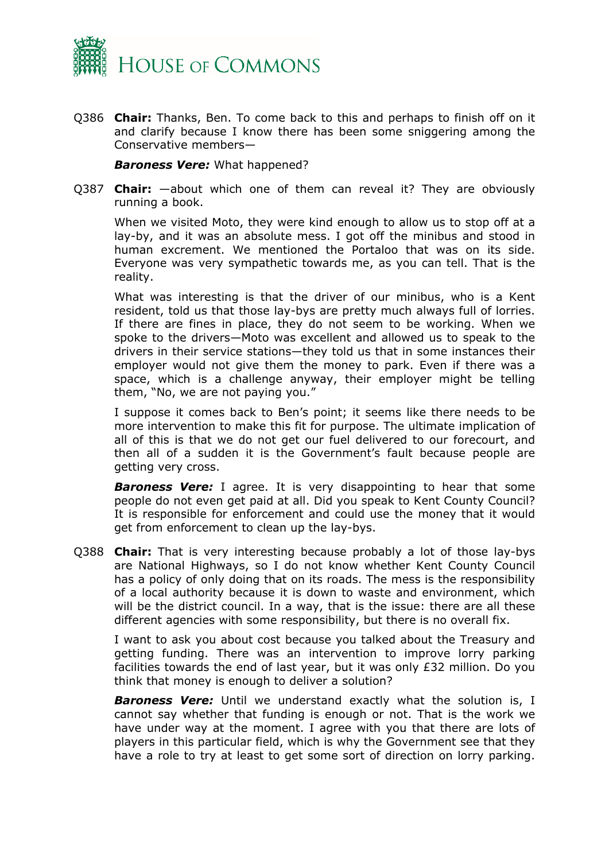

Q386 **Chair:** Thanks, Ben. To come back to this and perhaps to finish off on it and clarify because I know there has been some sniggering among the Conservative members—

*Baroness Vere:* What happened?

Q387 **Chair:** —about which one of them can reveal it? They are obviously running a book.

When we visited Moto, they were kind enough to allow us to stop off at a lay-by, and it was an absolute mess. I got off the minibus and stood in human excrement. We mentioned the Portaloo that was on its side. Everyone was very sympathetic towards me, as you can tell. That is the reality.

What was interesting is that the driver of our minibus, who is a Kent resident, told us that those lay-bys are pretty much always full of lorries. If there are fines in place, they do not seem to be working. When we spoke to the drivers—Moto was excellent and allowed us to speak to the drivers in their service stations—they told us that in some instances their employer would not give them the money to park. Even if there was a space, which is a challenge anyway, their employer might be telling them, "No, we are not paying you."

I suppose it comes back to Ben's point; it seems like there needs to be more intervention to make this fit for purpose. The ultimate implication of all of this is that we do not get our fuel delivered to our forecourt, and then all of a sudden it is the Government's fault because people are getting very cross.

*Baroness Vere:* I agree. It is very disappointing to hear that some people do not even get paid at all. Did you speak to Kent County Council? It is responsible for enforcement and could use the money that it would get from enforcement to clean up the lay-bys.

Q388 **Chair:** That is very interesting because probably a lot of those lay-bys are National Highways, so I do not know whether Kent County Council has a policy of only doing that on its roads. The mess is the responsibility of a local authority because it is down to waste and environment, which will be the district council. In a way, that is the issue: there are all these different agencies with some responsibility, but there is no overall fix.

I want to ask you about cost because you talked about the Treasury and getting funding. There was an intervention to improve lorry parking facilities towards the end of last year, but it was only £32 million. Do you think that money is enough to deliver a solution?

**Baroness Vere:** Until we understand exactly what the solution is, I cannot say whether that funding is enough or not. That is the work we have under way at the moment. I agree with you that there are lots of players in this particular field, which is why the Government see that they have a role to try at least to get some sort of direction on lorry parking.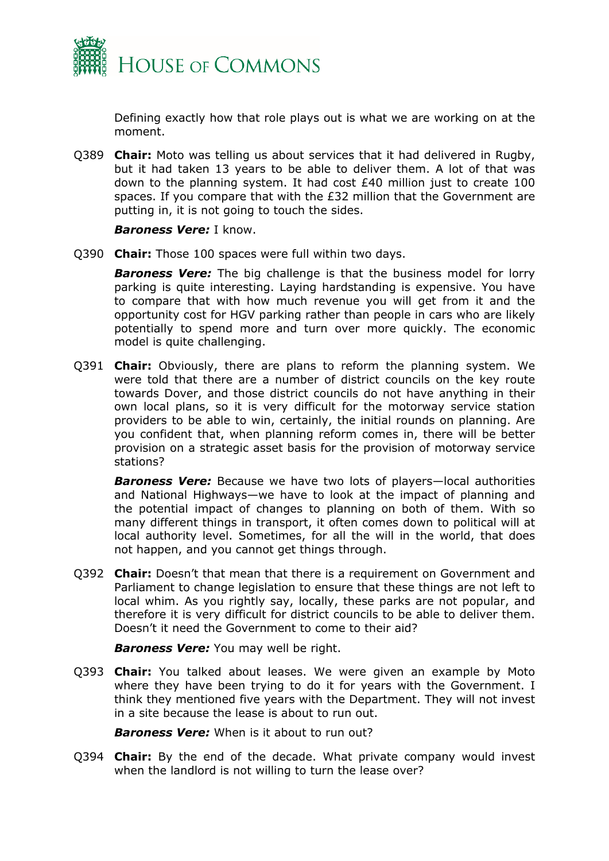

Defining exactly how that role plays out is what we are working on at the moment.

Q389 **Chair:** Moto was telling us about services that it had delivered in Rugby, but it had taken 13 years to be able to deliver them. A lot of that was down to the planning system. It had cost £40 million just to create 100 spaces. If you compare that with the £32 million that the Government are putting in, it is not going to touch the sides.

#### *Baroness Vere:* I know.

Q390 **Chair:** Those 100 spaces were full within two days.

*Baroness Vere:* The big challenge is that the business model for lorry parking is quite interesting. Laying hardstanding is expensive. You have to compare that with how much revenue you will get from it and the opportunity cost for HGV parking rather than people in cars who are likely potentially to spend more and turn over more quickly. The economic model is quite challenging.

Q391 **Chair:** Obviously, there are plans to reform the planning system. We were told that there are a number of district councils on the key route towards Dover, and those district councils do not have anything in their own local plans, so it is very difficult for the motorway service station providers to be able to win, certainly, the initial rounds on planning. Are you confident that, when planning reform comes in, there will be better provision on a strategic asset basis for the provision of motorway service stations?

*Baroness Vere:* Because we have two lots of players—local authorities and National Highways—we have to look at the impact of planning and the potential impact of changes to planning on both of them. With so many different things in transport, it often comes down to political will at local authority level. Sometimes, for all the will in the world, that does not happen, and you cannot get things through.

Q392 **Chair:** Doesn't that mean that there is a requirement on Government and Parliament to change legislation to ensure that these things are not left to local whim. As you rightly say, locally, these parks are not popular, and therefore it is very difficult for district councils to be able to deliver them. Doesn't it need the Government to come to their aid?

*Baroness Vere:* You may well be right.

Q393 **Chair:** You talked about leases. We were given an example by Moto where they have been trying to do it for years with the Government. I think they mentioned five years with the Department. They will not invest in a site because the lease is about to run out.

*Baroness Vere:* When is it about to run out?

Q394 **Chair:** By the end of the decade. What private company would invest when the landlord is not willing to turn the lease over?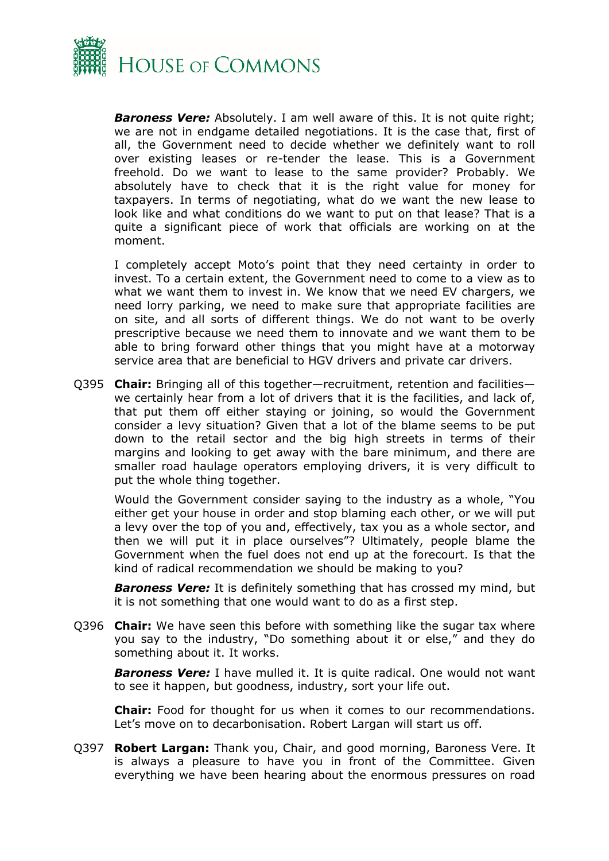

**Baroness Vere:** Absolutely. I am well aware of this. It is not quite right; we are not in endgame detailed negotiations. It is the case that, first of all, the Government need to decide whether we definitely want to roll over existing leases or re-tender the lease. This is a Government freehold. Do we want to lease to the same provider? Probably. We absolutely have to check that it is the right value for money for taxpayers. In terms of negotiating, what do we want the new lease to look like and what conditions do we want to put on that lease? That is a quite a significant piece of work that officials are working on at the moment.

I completely accept Moto's point that they need certainty in order to invest. To a certain extent, the Government need to come to a view as to what we want them to invest in. We know that we need EV chargers, we need lorry parking, we need to make sure that appropriate facilities are on site, and all sorts of different things. We do not want to be overly prescriptive because we need them to innovate and we want them to be able to bring forward other things that you might have at a motorway service area that are beneficial to HGV drivers and private car drivers.

Q395 **Chair:** Bringing all of this together—recruitment, retention and facilities we certainly hear from a lot of drivers that it is the facilities, and lack of, that put them off either staying or joining, so would the Government consider a levy situation? Given that a lot of the blame seems to be put down to the retail sector and the big high streets in terms of their margins and looking to get away with the bare minimum, and there are smaller road haulage operators employing drivers, it is very difficult to put the whole thing together.

Would the Government consider saying to the industry as a whole, "You either get your house in order and stop blaming each other, or we will put a levy over the top of you and, effectively, tax you as a whole sector, and then we will put it in place ourselves"? Ultimately, people blame the Government when the fuel does not end up at the forecourt. Is that the kind of radical recommendation we should be making to you?

*Baroness Vere:* It is definitely something that has crossed my mind, but it is not something that one would want to do as a first step.

Q396 **Chair:** We have seen this before with something like the sugar tax where you say to the industry, "Do something about it or else," and they do something about it. It works.

*Baroness Vere:* I have mulled it. It is quite radical. One would not want to see it happen, but goodness, industry, sort your life out.

**Chair:** Food for thought for us when it comes to our recommendations. Let's move on to decarbonisation. Robert Largan will start us off.

Q397 **Robert Largan:** Thank you, Chair, and good morning, Baroness Vere. It is always a pleasure to have you in front of the Committee. Given everything we have been hearing about the enormous pressures on road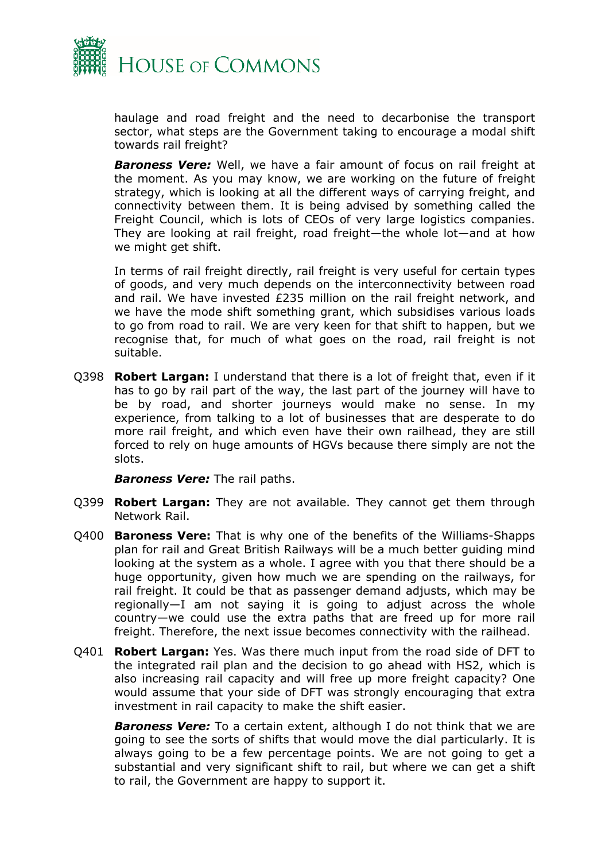

haulage and road freight and the need to decarbonise the transport sector, what steps are the Government taking to encourage a modal shift towards rail freight?

*Baroness Vere:* Well, we have a fair amount of focus on rail freight at the moment. As you may know, we are working on the future of freight strategy, which is looking at all the different ways of carrying freight, and connectivity between them. It is being advised by something called the Freight Council, which is lots of CEOs of very large logistics companies. They are looking at rail freight, road freight—the whole lot—and at how we might get shift.

In terms of rail freight directly, rail freight is very useful for certain types of goods, and very much depends on the interconnectivity between road and rail. We have invested £235 million on the rail freight network, and we have the mode shift something grant, which subsidises various loads to go from road to rail. We are very keen for that shift to happen, but we recognise that, for much of what goes on the road, rail freight is not suitable.

Q398 **Robert Largan:** I understand that there is a lot of freight that, even if it has to go by rail part of the way, the last part of the journey will have to be by road, and shorter journeys would make no sense. In my experience, from talking to a lot of businesses that are desperate to do more rail freight, and which even have their own railhead, they are still forced to rely on huge amounts of HGVs because there simply are not the slots.

*Baroness Vere:* The rail paths.

- Q399 **Robert Largan:** They are not available. They cannot get them through Network Rail.
- Q400 **Baroness Vere:** That is why one of the benefits of the Williams-Shapps plan for rail and Great British Railways will be a much better guiding mind looking at the system as a whole. I agree with you that there should be a huge opportunity, given how much we are spending on the railways, for rail freight. It could be that as passenger demand adjusts, which may be regionally—I am not saying it is going to adjust across the whole country—we could use the extra paths that are freed up for more rail freight. Therefore, the next issue becomes connectivity with the railhead.
- Q401 **Robert Largan:** Yes. Was there much input from the road side of DFT to the integrated rail plan and the decision to go ahead with HS2, which is also increasing rail capacity and will free up more freight capacity? One would assume that your side of DFT was strongly encouraging that extra investment in rail capacity to make the shift easier.

**Baroness Vere:** To a certain extent, although I do not think that we are going to see the sorts of shifts that would move the dial particularly. It is always going to be a few percentage points. We are not going to get a substantial and very significant shift to rail, but where we can get a shift to rail, the Government are happy to support it.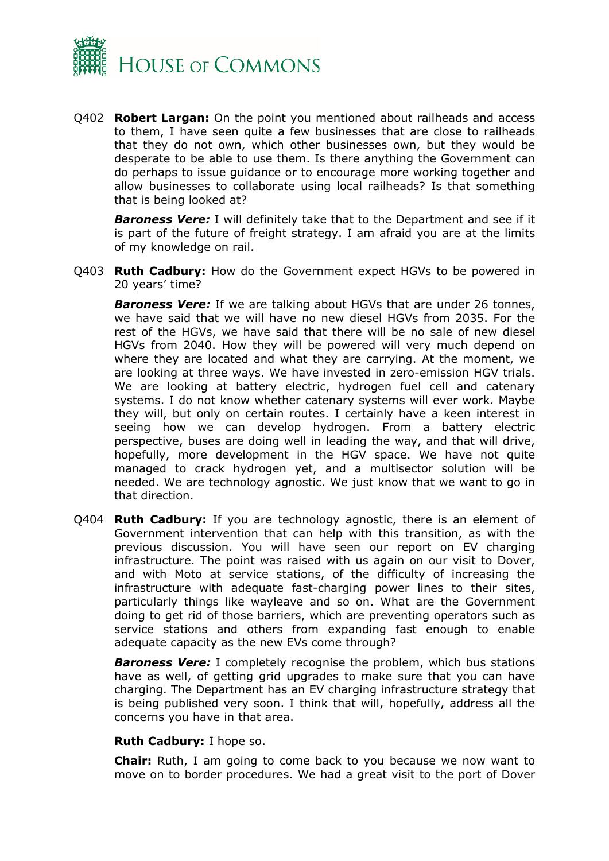

Q402 **Robert Largan:** On the point you mentioned about railheads and access to them, I have seen quite a few businesses that are close to railheads that they do not own, which other businesses own, but they would be desperate to be able to use them. Is there anything the Government can do perhaps to issue guidance or to encourage more working together and allow businesses to collaborate using local railheads? Is that something that is being looked at?

*Baroness Vere:* I will definitely take that to the Department and see if it is part of the future of freight strategy. I am afraid you are at the limits of my knowledge on rail.

Q403 **Ruth Cadbury:** How do the Government expect HGVs to be powered in 20 years' time?

*Baroness Vere:* If we are talking about HGVs that are under 26 tonnes, we have said that we will have no new diesel HGVs from 2035. For the rest of the HGVs, we have said that there will be no sale of new diesel HGVs from 2040. How they will be powered will very much depend on where they are located and what they are carrying. At the moment, we are looking at three ways. We have invested in zero-emission HGV trials. We are looking at battery electric, hydrogen fuel cell and catenary systems. I do not know whether catenary systems will ever work. Maybe they will, but only on certain routes. I certainly have a keen interest in seeing how we can develop hydrogen. From a battery electric perspective, buses are doing well in leading the way, and that will drive, hopefully, more development in the HGV space. We have not quite managed to crack hydrogen yet, and a multisector solution will be needed. We are technology agnostic. We just know that we want to go in that direction.

Q404 **Ruth Cadbury:** If you are technology agnostic, there is an element of Government intervention that can help with this transition, as with the previous discussion. You will have seen our report on EV charging infrastructure. The point was raised with us again on our visit to Dover, and with Moto at service stations, of the difficulty of increasing the infrastructure with adequate fast-charging power lines to their sites, particularly things like wayleave and so on. What are the Government doing to get rid of those barriers, which are preventing operators such as service stations and others from expanding fast enough to enable adequate capacity as the new EVs come through?

*Baroness Vere:* I completely recognise the problem, which bus stations have as well, of getting grid upgrades to make sure that you can have charging. The Department has an EV charging infrastructure strategy that is being published very soon. I think that will, hopefully, address all the concerns you have in that area.

#### **Ruth Cadbury:** I hope so.

**Chair:** Ruth, I am going to come back to you because we now want to move on to border procedures. We had a great visit to the port of Dover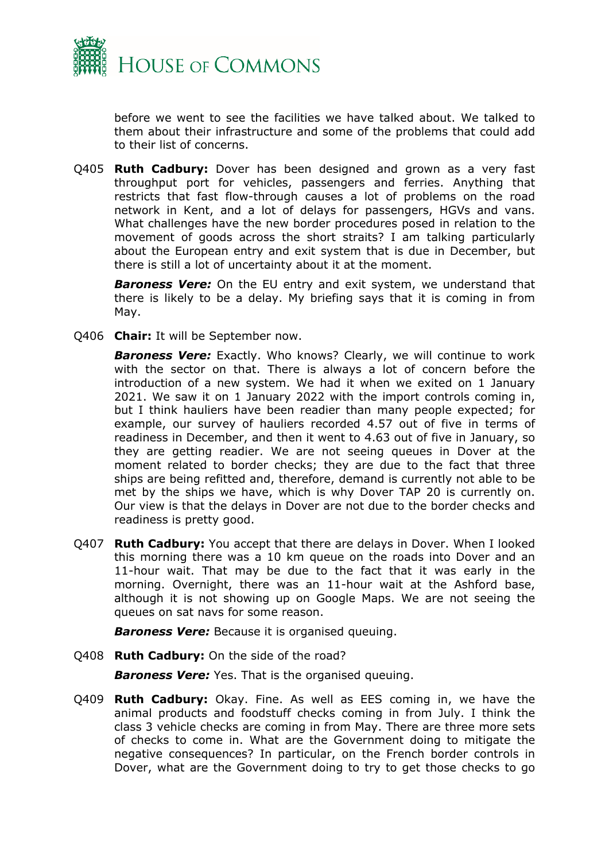

before we went to see the facilities we have talked about. We talked to them about their infrastructure and some of the problems that could add to their list of concerns.

Q405 **Ruth Cadbury:** Dover has been designed and grown as a very fast throughput port for vehicles, passengers and ferries. Anything that restricts that fast flow-through causes a lot of problems on the road network in Kent, and a lot of delays for passengers, HGVs and vans. What challenges have the new border procedures posed in relation to the movement of goods across the short straits? I am talking particularly about the European entry and exit system that is due in December, but there is still a lot of uncertainty about it at the moment.

*Baroness Vere:* On the EU entry and exit system, we understand that there is likely to be a delay. My briefing says that it is coming in from May.

Q406 **Chair:** It will be September now.

**Baroness Vere:** Exactly. Who knows? Clearly, we will continue to work with the sector on that. There is always a lot of concern before the introduction of a new system. We had it when we exited on 1 January 2021. We saw it on 1 January 2022 with the import controls coming in, but I think hauliers have been readier than many people expected; for example, our survey of hauliers recorded 4.57 out of five in terms of readiness in December, and then it went to 4.63 out of five in January, so they are getting readier. We are not seeing queues in Dover at the moment related to border checks; they are due to the fact that three ships are being refitted and, therefore, demand is currently not able to be met by the ships we have, which is why Dover TAP 20 is currently on. Our view is that the delays in Dover are not due to the border checks and readiness is pretty good.

Q407 **Ruth Cadbury:** You accept that there are delays in Dover. When I looked this morning there was a 10 km queue on the roads into Dover and an 11-hour wait. That may be due to the fact that it was early in the morning. Overnight, there was an 11-hour wait at the Ashford base, although it is not showing up on Google Maps. We are not seeing the queues on sat navs for some reason.

*Baroness Vere:* Because it is organised queuing.

Q408 **Ruth Cadbury:** On the side of the road?

*Baroness Vere:* Yes. That is the organised queuing.

Q409 **Ruth Cadbury:** Okay. Fine. As well as EES coming in, we have the animal products and foodstuff checks coming in from July. I think the class 3 vehicle checks are coming in from May. There are three more sets of checks to come in. What are the Government doing to mitigate the negative consequences? In particular, on the French border controls in Dover, what are the Government doing to try to get those checks to go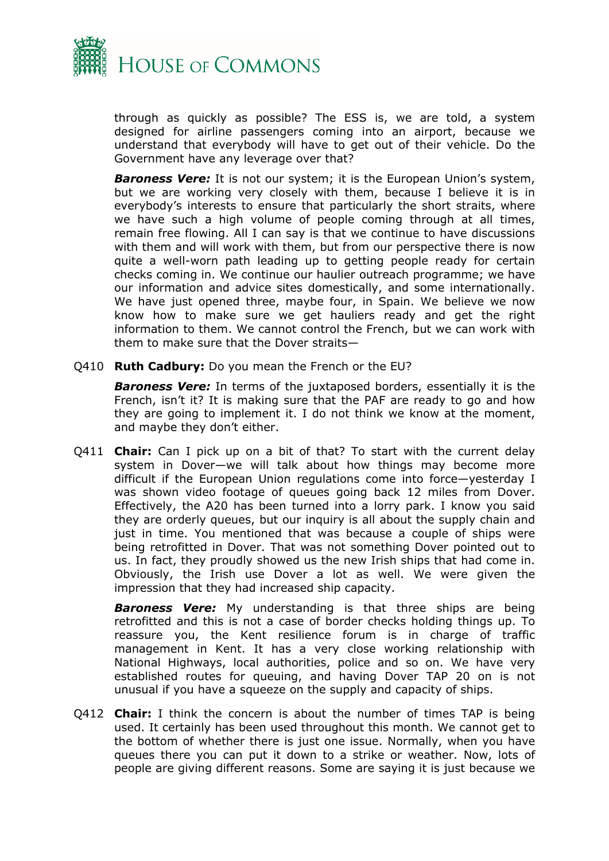

through as quickly as possible? The ESS is, we are told, a system designed for airline passengers coming into an airport, because we understand that everybody will have to get out of their vehicle. Do the Government have any leverage over that?

*Baroness Vere:* It is not our system; it is the European Union's system, but we are working very closely with them, because I believe it is in everybody's interests to ensure that particularly the short straits, where we have such a high volume of people coming through at all times, remain free flowing. All I can say is that we continue to have discussions with them and will work with them, but from our perspective there is now quite a well-worn path leading up to getting people ready for certain checks coming in. We continue our haulier outreach programme; we have our information and advice sites domestically, and some internationally. We have just opened three, maybe four, in Spain. We believe we now know how to make sure we get hauliers ready and get the right information to them. We cannot control the French, but we can work with them to make sure that the Dover straits—

Q410 **Ruth Cadbury:** Do you mean the French or the EU?

*Baroness Vere:* In terms of the juxtaposed borders, essentially it is the French, isn't it? It is making sure that the PAF are ready to go and how they are going to implement it. I do not think we know at the moment, and maybe they don't either.

Q411 **Chair:** Can I pick up on a bit of that? To start with the current delay system in Dover—we will talk about how things may become more difficult if the European Union regulations come into force—yesterday I was shown video footage of queues going back 12 miles from Dover. Effectively, the A20 has been turned into a lorry park. I know you said they are orderly queues, but our inquiry is all about the supply chain and just in time. You mentioned that was because a couple of ships were being retrofitted in Dover. That was not something Dover pointed out to us. In fact, they proudly showed us the new Irish ships that had come in. Obviously, the Irish use Dover a lot as well. We were given the impression that they had increased ship capacity.

*Baroness Vere:* My understanding is that three ships are being retrofitted and this is not a case of border checks holding things up. To reassure you, the Kent resilience forum is in charge of traffic management in Kent. It has a very close working relationship with National Highways, local authorities, police and so on. We have very established routes for queuing, and having Dover TAP 20 on is not unusual if you have a squeeze on the supply and capacity of ships.

Q412 **Chair:** I think the concern is about the number of times TAP is being used. It certainly has been used throughout this month. We cannot get to the bottom of whether there is just one issue. Normally, when you have queues there you can put it down to a strike or weather. Now, lots of people are giving different reasons. Some are saying it is just because we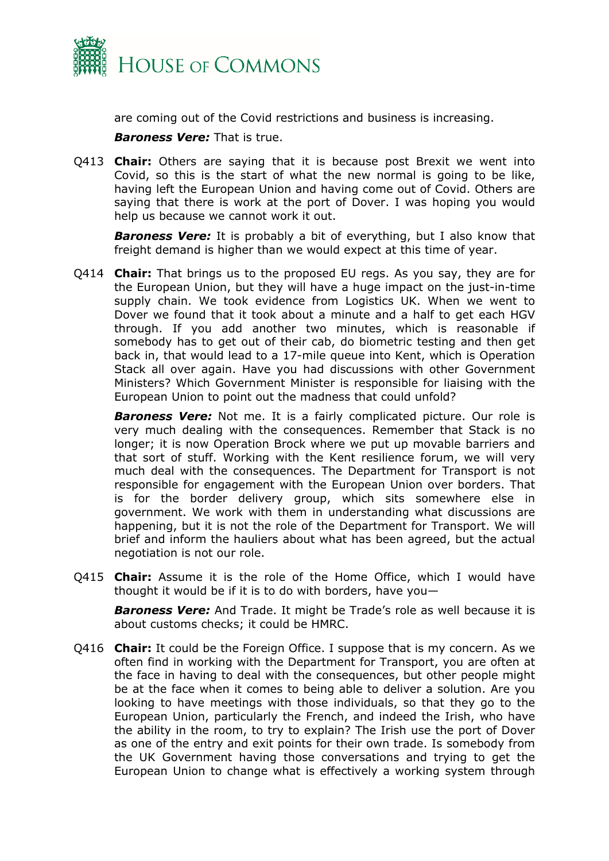

are coming out of the Covid restrictions and business is increasing.

*Baroness Vere:* That is true.

Q413 **Chair:** Others are saying that it is because post Brexit we went into Covid, so this is the start of what the new normal is going to be like, having left the European Union and having come out of Covid. Others are saying that there is work at the port of Dover. I was hoping you would help us because we cannot work it out.

*Baroness Vere:* It is probably a bit of everything, but I also know that freight demand is higher than we would expect at this time of year.

Q414 **Chair:** That brings us to the proposed EU regs. As you say, they are for the European Union, but they will have a huge impact on the just-in-time supply chain. We took evidence from Logistics UK. When we went to Dover we found that it took about a minute and a half to get each HGV through. If you add another two minutes, which is reasonable if somebody has to get out of their cab, do biometric testing and then get back in, that would lead to a 17-mile queue into Kent, which is Operation Stack all over again. Have you had discussions with other Government Ministers? Which Government Minister is responsible for liaising with the European Union to point out the madness that could unfold?

*Baroness Vere:* Not me. It is a fairly complicated picture. Our role is very much dealing with the consequences. Remember that Stack is no longer; it is now Operation Brock where we put up movable barriers and that sort of stuff. Working with the Kent resilience forum, we will very much deal with the consequences. The Department for Transport is not responsible for engagement with the European Union over borders. That is for the border delivery group, which sits somewhere else in government. We work with them in understanding what discussions are happening, but it is not the role of the Department for Transport. We will brief and inform the hauliers about what has been agreed, but the actual negotiation is not our role.

Q415 **Chair:** Assume it is the role of the Home Office, which I would have thought it would be if it is to do with borders, have you—

*Baroness Vere:* And Trade. It might be Trade's role as well because it is about customs checks; it could be HMRC.

Q416 **Chair:** It could be the Foreign Office. I suppose that is my concern. As we often find in working with the Department for Transport, you are often at the face in having to deal with the consequences, but other people might be at the face when it comes to being able to deliver a solution. Are you looking to have meetings with those individuals, so that they go to the European Union, particularly the French, and indeed the Irish, who have the ability in the room, to try to explain? The Irish use the port of Dover as one of the entry and exit points for their own trade. Is somebody from the UK Government having those conversations and trying to get the European Union to change what is effectively a working system through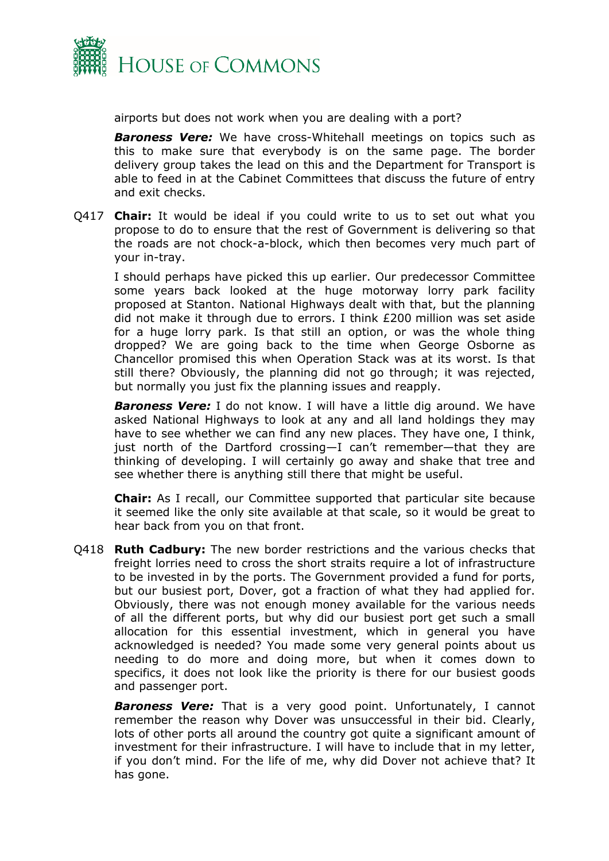

airports but does not work when you are dealing with a port?

**Baroness Vere:** We have cross-Whitehall meetings on topics such as this to make sure that everybody is on the same page. The border delivery group takes the lead on this and the Department for Transport is able to feed in at the Cabinet Committees that discuss the future of entry and exit checks.

Q417 **Chair:** It would be ideal if you could write to us to set out what you propose to do to ensure that the rest of Government is delivering so that the roads are not chock-a-block, which then becomes very much part of your in-tray.

I should perhaps have picked this up earlier. Our predecessor Committee some years back looked at the huge motorway lorry park facility proposed at Stanton. National Highways dealt with that, but the planning did not make it through due to errors. I think £200 million was set aside for a huge lorry park. Is that still an option, or was the whole thing dropped? We are going back to the time when George Osborne as Chancellor promised this when Operation Stack was at its worst. Is that still there? Obviously, the planning did not go through; it was rejected, but normally you just fix the planning issues and reapply.

**Baroness Vere:** I do not know. I will have a little dig around. We have asked National Highways to look at any and all land holdings they may have to see whether we can find any new places. They have one, I think, just north of the Dartford crossing—I can't remember—that they are thinking of developing. I will certainly go away and shake that tree and see whether there is anything still there that might be useful.

**Chair:** As I recall, our Committee supported that particular site because it seemed like the only site available at that scale, so it would be great to hear back from you on that front.

Q418 **Ruth Cadbury:** The new border restrictions and the various checks that freight lorries need to cross the short straits require a lot of infrastructure to be invested in by the ports. The Government provided a fund for ports, but our busiest port, Dover, got a fraction of what they had applied for. Obviously, there was not enough money available for the various needs of all the different ports, but why did our busiest port get such a small allocation for this essential investment, which in general you have acknowledged is needed? You made some very general points about us needing to do more and doing more, but when it comes down to specifics, it does not look like the priority is there for our busiest goods and passenger port.

*Baroness Vere:* That is a very good point. Unfortunately, I cannot remember the reason why Dover was unsuccessful in their bid. Clearly, lots of other ports all around the country got quite a significant amount of investment for their infrastructure. I will have to include that in my letter, if you don't mind. For the life of me, why did Dover not achieve that? It has gone.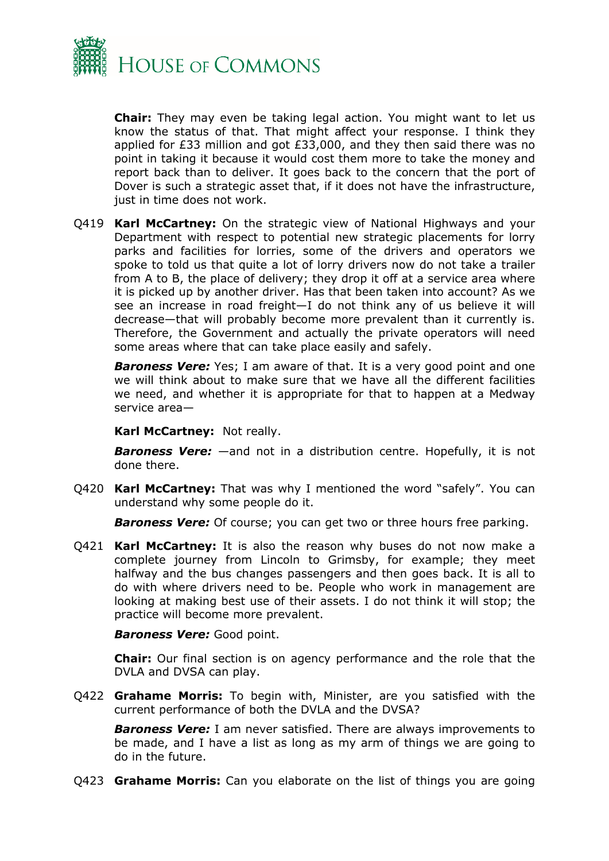

**Chair:** They may even be taking legal action. You might want to let us know the status of that. That might affect your response. I think they applied for £33 million and got £33,000, and they then said there was no point in taking it because it would cost them more to take the money and report back than to deliver. It goes back to the concern that the port of Dover is such a strategic asset that, if it does not have the infrastructure, just in time does not work.

Q419 **Karl McCartney:** On the strategic view of National Highways and your Department with respect to potential new strategic placements for lorry parks and facilities for lorries, some of the drivers and operators we spoke to told us that quite a lot of lorry drivers now do not take a trailer from A to B, the place of delivery; they drop it off at a service area where it is picked up by another driver. Has that been taken into account? As we see an increase in road freight—I do not think any of us believe it will decrease—that will probably become more prevalent than it currently is. Therefore, the Government and actually the private operators will need some areas where that can take place easily and safely.

*Baroness Vere:* Yes; I am aware of that. It is a very good point and one we will think about to make sure that we have all the different facilities we need, and whether it is appropriate for that to happen at a Medway service area—

**Karl McCartney:** Not really.

*Baroness Vere:* —and not in a distribution centre. Hopefully, it is not done there.

Q420 **Karl McCartney:** That was why I mentioned the word "safely". You can understand why some people do it.

*Baroness Vere:* Of course; you can get two or three hours free parking.

Q421 **Karl McCartney:** It is also the reason why buses do not now make a complete journey from Lincoln to Grimsby, for example; they meet halfway and the bus changes passengers and then goes back. It is all to do with where drivers need to be. People who work in management are looking at making best use of their assets. I do not think it will stop; the practice will become more prevalent.

*Baroness Vere:* Good point.

**Chair:** Our final section is on agency performance and the role that the DVLA and DVSA can play.

Q422 **Grahame Morris:** To begin with, Minister, are you satisfied with the current performance of both the DVLA and the DVSA?

*Baroness Vere:* I am never satisfied. There are always improvements to be made, and I have a list as long as my arm of things we are going to do in the future.

Q423 **Grahame Morris:** Can you elaborate on the list of things you are going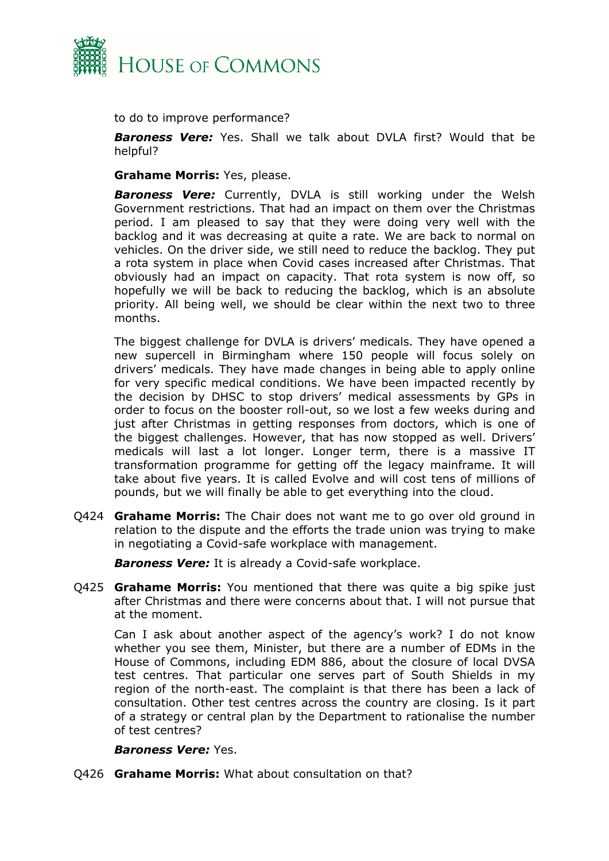

to do to improve performance?

*Baroness Vere:* Yes. Shall we talk about DVLA first? Would that be helpful?

**Grahame Morris:** Yes, please.

*Baroness Vere:* Currently, DVLA is still working under the Welsh Government restrictions. That had an impact on them over the Christmas period. I am pleased to say that they were doing very well with the backlog and it was decreasing at quite a rate. We are back to normal on vehicles. On the driver side, we still need to reduce the backlog. They put a rota system in place when Covid cases increased after Christmas. That obviously had an impact on capacity. That rota system is now off, so hopefully we will be back to reducing the backlog, which is an absolute priority. All being well, we should be clear within the next two to three months.

The biggest challenge for DVLA is drivers' medicals. They have opened a new supercell in Birmingham where 150 people will focus solely on drivers' medicals. They have made changes in being able to apply online for very specific medical conditions. We have been impacted recently by the decision by DHSC to stop drivers' medical assessments by GPs in order to focus on the booster roll-out, so we lost a few weeks during and just after Christmas in getting responses from doctors, which is one of the biggest challenges. However, that has now stopped as well. Drivers' medicals will last a lot longer. Longer term, there is a massive IT transformation programme for getting off the legacy mainframe. It will take about five years. It is called Evolve and will cost tens of millions of pounds, but we will finally be able to get everything into the cloud.

Q424 **Grahame Morris:** The Chair does not want me to go over old ground in relation to the dispute and the efforts the trade union was trying to make in negotiating a Covid-safe workplace with management.

*Baroness Vere:* It is already a Covid-safe workplace.

Q425 **Grahame Morris:** You mentioned that there was quite a big spike just after Christmas and there were concerns about that. I will not pursue that at the moment.

Can I ask about another aspect of the agency's work? I do not know whether you see them, Minister, but there are a number of EDMs in the House of Commons, including EDM 886, about the closure of local DVSA test centres. That particular one serves part of South Shields in my region of the north-east. The complaint is that there has been a lack of consultation. Other test centres across the country are closing. Is it part of a strategy or central plan by the Department to rationalise the number of test centres?

#### *Baroness Vere:* Yes.

Q426 **Grahame Morris:** What about consultation on that?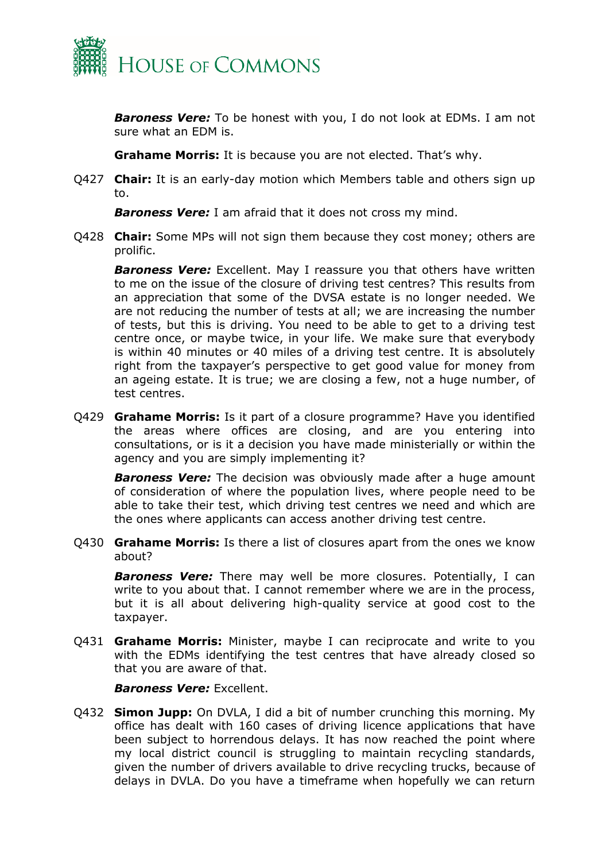

*Baroness Vere:* To be honest with you, I do not look at EDMs. I am not sure what an EDM is.

**Grahame Morris:** It is because you are not elected. That's why.

Q427 **Chair:** It is an early-day motion which Members table and others sign up to.

*Baroness Vere:* I am afraid that it does not cross my mind.

Q428 **Chair:** Some MPs will not sign them because they cost money; others are prolific.

*Baroness Vere:* Excellent. May I reassure you that others have written to me on the issue of the closure of driving test centres? This results from an appreciation that some of the DVSA estate is no longer needed. We are not reducing the number of tests at all; we are increasing the number of tests, but this is driving. You need to be able to get to a driving test centre once, or maybe twice, in your life. We make sure that everybody is within 40 minutes or 40 miles of a driving test centre. It is absolutely right from the taxpayer's perspective to get good value for money from an ageing estate. It is true; we are closing a few, not a huge number, of test centres.

Q429 **Grahame Morris:** Is it part of a closure programme? Have you identified the areas where offices are closing, and are you entering into consultations, or is it a decision you have made ministerially or within the agency and you are simply implementing it?

*Baroness Vere:* The decision was obviously made after a huge amount of consideration of where the population lives, where people need to be able to take their test, which driving test centres we need and which are the ones where applicants can access another driving test centre.

Q430 **Grahame Morris:** Is there a list of closures apart from the ones we know about?

*Baroness Vere:* There may well be more closures. Potentially, I can write to you about that. I cannot remember where we are in the process, but it is all about delivering high-quality service at good cost to the taxpayer.

Q431 **Grahame Morris:** Minister, maybe I can reciprocate and write to you with the EDMs identifying the test centres that have already closed so that you are aware of that.

*Baroness Vere:* Excellent.

Q432 **Simon Jupp:** On DVLA, I did a bit of number crunching this morning. My office has dealt with 160 cases of driving licence applications that have been subject to horrendous delays. It has now reached the point where my local district council is struggling to maintain recycling standards, given the number of drivers available to drive recycling trucks, because of delays in DVLA. Do you have a timeframe when hopefully we can return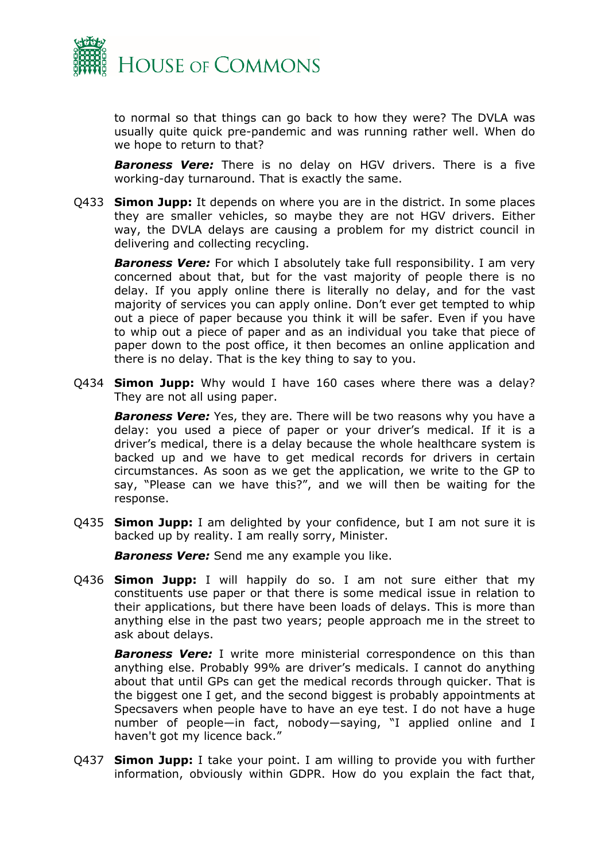

to normal so that things can go back to how they were? The DVLA was usually quite quick pre-pandemic and was running rather well. When do we hope to return to that?

*Baroness Vere:* There is no delay on HGV drivers. There is a five working-day turnaround. That is exactly the same.

Q433 **Simon Jupp:** It depends on where you are in the district. In some places they are smaller vehicles, so maybe they are not HGV drivers. Either way, the DVLA delays are causing a problem for my district council in delivering and collecting recycling.

*Baroness Vere:* For which I absolutely take full responsibility. I am very concerned about that, but for the vast majority of people there is no delay. If you apply online there is literally no delay, and for the vast majority of services you can apply online. Don't ever get tempted to whip out a piece of paper because you think it will be safer. Even if you have to whip out a piece of paper and as an individual you take that piece of paper down to the post office, it then becomes an online application and there is no delay. That is the key thing to say to you.

Q434 **Simon Jupp:** Why would I have 160 cases where there was a delay? They are not all using paper.

*Baroness Vere:* Yes, they are. There will be two reasons why you have a delay: you used a piece of paper or your driver's medical. If it is a driver's medical, there is a delay because the whole healthcare system is backed up and we have to get medical records for drivers in certain circumstances. As soon as we get the application, we write to the GP to say, "Please can we have this?", and we will then be waiting for the response.

Q435 **Simon Jupp:** I am delighted by your confidence, but I am not sure it is backed up by reality. I am really sorry, Minister.

*Baroness Vere:* Send me any example you like.

Q436 **Simon Jupp:** I will happily do so. I am not sure either that my constituents use paper or that there is some medical issue in relation to their applications, but there have been loads of delays. This is more than anything else in the past two years; people approach me in the street to ask about delays.

*Baroness Vere:* I write more ministerial correspondence on this than anything else. Probably 99% are driver's medicals. I cannot do anything about that until GPs can get the medical records through quicker. That is the biggest one I get, and the second biggest is probably appointments at Specsavers when people have to have an eye test. I do not have a huge number of people—in fact, nobody—saying, "I applied online and I haven't got my licence back."

Q437 **Simon Jupp:** I take your point. I am willing to provide you with further information, obviously within GDPR. How do you explain the fact that,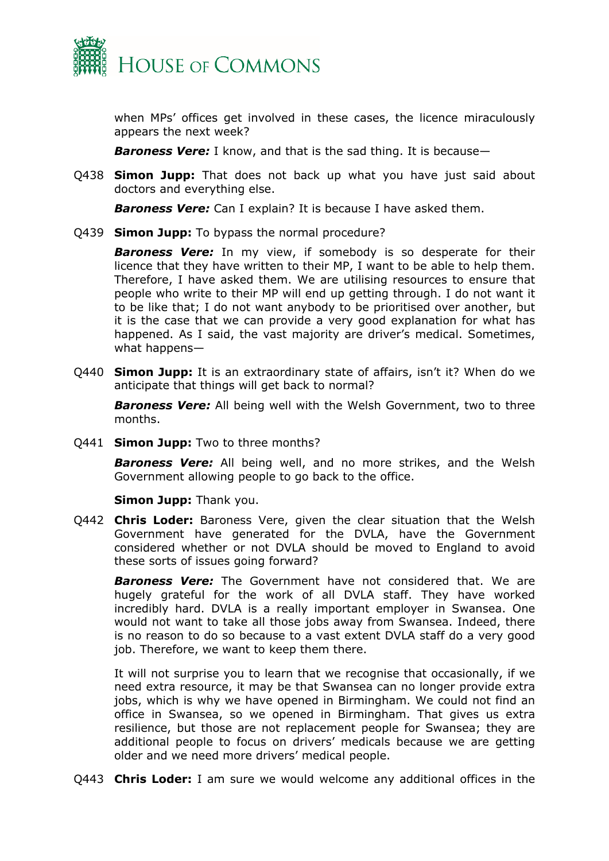

when MPs' offices get involved in these cases, the licence miraculously appears the next week?

*Baroness Vere:* I know, and that is the sad thing. It is because—

Q438 **Simon Jupp:** That does not back up what you have just said about doctors and everything else.

*Baroness Vere:* Can I explain? It is because I have asked them.

Q439 **Simon Jupp:** To bypass the normal procedure?

*Baroness Vere:* In my view, if somebody is so desperate for their licence that they have written to their MP, I want to be able to help them. Therefore, I have asked them. We are utilising resources to ensure that people who write to their MP will end up getting through. I do not want it to be like that; I do not want anybody to be prioritised over another, but it is the case that we can provide a very good explanation for what has happened. As I said, the vast majority are driver's medical. Sometimes, what happens—

Q440 **Simon Jupp:** It is an extraordinary state of affairs, isn't it? When do we anticipate that things will get back to normal?

*Baroness Vere:* All being well with the Welsh Government, two to three months.

Q441 **Simon Jupp:** Two to three months?

*Baroness Vere:* All being well, and no more strikes, and the Welsh Government allowing people to go back to the office.

**Simon Jupp:** Thank you.

Q442 **Chris Loder:** Baroness Vere, given the clear situation that the Welsh Government have generated for the DVLA, have the Government considered whether or not DVLA should be moved to England to avoid these sorts of issues going forward?

*Baroness Vere:* The Government have not considered that. We are hugely grateful for the work of all DVLA staff. They have worked incredibly hard. DVLA is a really important employer in Swansea. One would not want to take all those jobs away from Swansea. Indeed, there is no reason to do so because to a vast extent DVLA staff do a very good job. Therefore, we want to keep them there.

It will not surprise you to learn that we recognise that occasionally, if we need extra resource, it may be that Swansea can no longer provide extra jobs, which is why we have opened in Birmingham. We could not find an office in Swansea, so we opened in Birmingham. That gives us extra resilience, but those are not replacement people for Swansea; they are additional people to focus on drivers' medicals because we are getting older and we need more drivers' medical people.

Q443 **Chris Loder:** I am sure we would welcome any additional offices in the